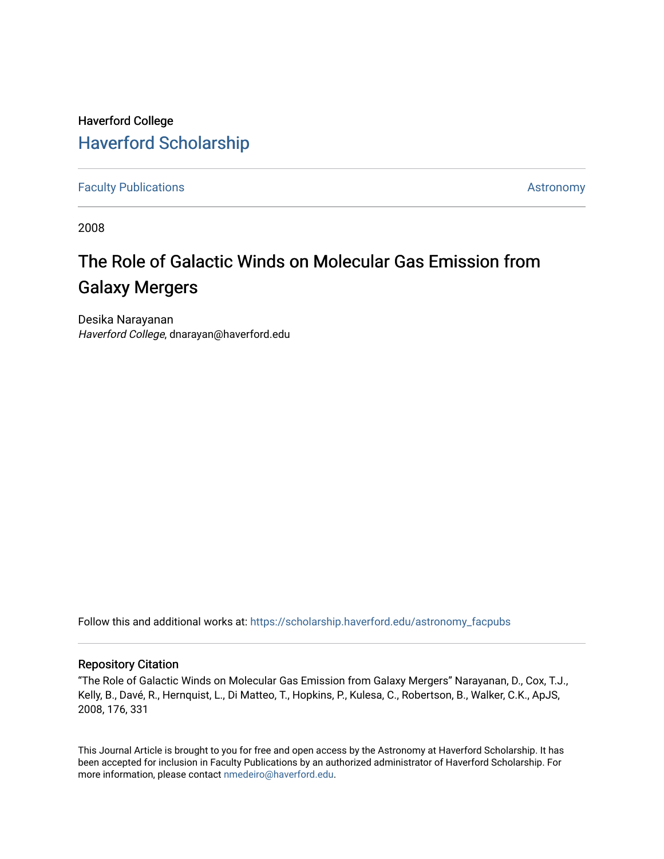## Haverford College [Haverford Scholarship](https://scholarship.haverford.edu/)

[Faculty Publications](https://scholarship.haverford.edu/astronomy_facpubs) **Astronomy Astronomy** 

2008

# The Role of Galactic Winds on Molecular Gas Emission from Galaxy Mergers

Desika Narayanan Haverford College, dnarayan@haverford.edu

Follow this and additional works at: [https://scholarship.haverford.edu/astronomy\\_facpubs](https://scholarship.haverford.edu/astronomy_facpubs?utm_source=scholarship.haverford.edu%2Fastronomy_facpubs%2F340&utm_medium=PDF&utm_campaign=PDFCoverPages)

## Repository Citation

"The Role of Galactic Winds on Molecular Gas Emission from Galaxy Mergers" Narayanan, D., Cox, T.J., Kelly, B., Davé, R., Hernquist, L., Di Matteo, T., Hopkins, P., Kulesa, C., Robertson, B., Walker, C.K., ApJS, 2008, 176, 331

This Journal Article is brought to you for free and open access by the Astronomy at Haverford Scholarship. It has been accepted for inclusion in Faculty Publications by an authorized administrator of Haverford Scholarship. For more information, please contact [nmedeiro@haverford.edu.](mailto:nmedeiro@haverford.edu)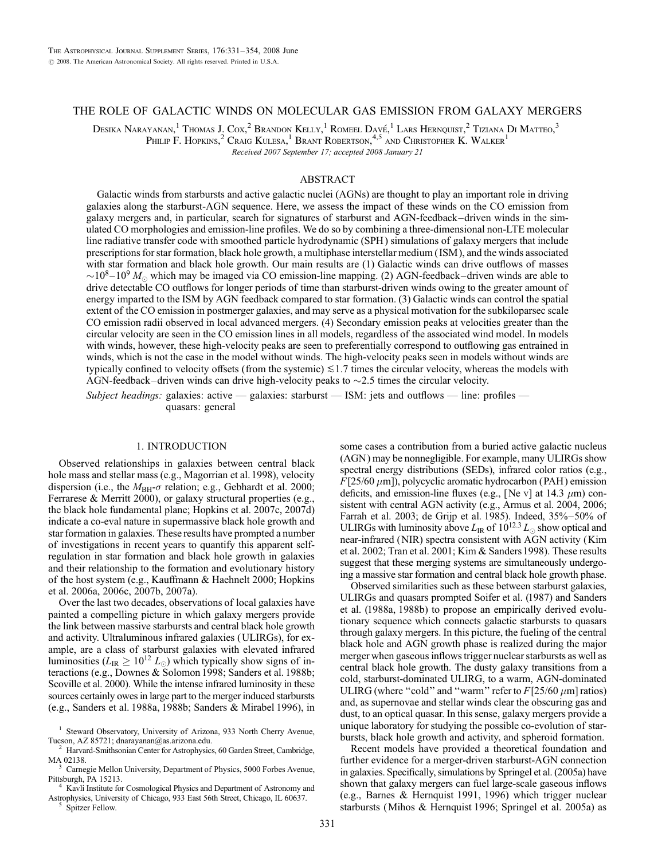## THE ROLE OF GALACTIC WINDS ON MOLECULAR GAS EMISSION FROM GALAXY MERGERS

Desika Narayanan,<sup>1</sup> Thomas J. Cox,<sup>2</sup> Brandon Kelly,<sup>1</sup> Romeel Davé,<sup>1</sup> Lars Hernouist,<sup>2</sup> Tiziana Di Matteo,<sup>3</sup> Philip F. Hopkins,  $^2$  Craig Kulesa,  $^1$  Brant Robertson,  $^{4,5}$  and Christopher K. Walker $^1$ 

Received 2007 September 17; accepted 2008 January 21

## ABSTRACT

Galactic winds from starbursts and active galactic nuclei (AGNs) are thought to play an important role in driving galaxies along the starburst-AGN sequence. Here, we assess the impact of these winds on the CO emission from galaxy mergers and, in particular, search for signatures of starburst and AGN-feedback-driven winds in the simulated CO morphologies and emission-line profiles. We do so by combining a three-dimensional non-LTE molecular line radiative transfer code with smoothed particle hydrodynamic (SPH ) simulations of galaxy mergers that include prescriptions for star formation, black hole growth, a multiphase interstellar medium ( ISM ), and the winds associated with star formation and black hole growth. Our main results are (1) Galactic winds can drive outflows of masses  $\sim$ 10<sup>8</sup> $-10^9$   $M_\odot$  which may be imaged via CO emission-line mapping. (2) AGN-feedback–driven winds are able to drive detectable CO outflows for longer periods of time than starburst-driven winds owing to the greater amount of energy imparted to the ISM by AGN feedback compared to star formation. (3) Galactic winds can control the spatial extent of the CO emission in postmerger galaxies, and may serve as a physical motivation for the subkiloparsec scale CO emission radii observed in local advanced mergers. (4) Secondary emission peaks at velocities greater than the circular velocity are seen in the CO emission lines in all models, regardless of the associated wind model. In models with winds, however, these high-velocity peaks are seen to preferentially correspond to outflowing gas entrained in winds, which is not the case in the model without winds. The high-velocity peaks seen in models without winds are typically confined to velocity offsets (from the systemic)  $\leq 1.7$  times the circular velocity, whereas the models with AGN-feedback-driven winds can drive high-velocity peaks to  $\sim$  2.5 times the circular velocity.

Subject headings: galaxies: active — galaxies: starburst — ISM: jets and outflows — line: profiles quasars: general

## 1. INTRODUCTION

Observed relationships in galaxies between central black hole mass and stellar mass (e.g., Magorrian et al. 1998), velocity dispersion (i.e., the  $M_{\text{BH}}$ - $\sigma$  relation; e.g., Gebhardt et al. 2000; Ferrarese & Merritt 2000), or galaxy structural properties (e.g., the black hole fundamental plane; Hopkins et al. 2007c, 2007d) indicate a co-eval nature in supermassive black hole growth and star formation in galaxies. These results have prompted a number of investigations in recent years to quantify this apparent selfregulation in star formation and black hole growth in galaxies and their relationship to the formation and evolutionary history of the host system (e.g., Kauffmann & Haehnelt 2000; Hopkins et al. 2006a, 2006c, 2007b, 2007a).

Over the last two decades, observations of local galaxies have painted a compelling picture in which galaxy mergers provide the link between massive starbursts and central black hole growth and activity. Ultraluminous infrared galaxies (ULIRGs), for example, are a class of starburst galaxies with elevated infrared luminosities ( $L_{\text{IR}} \geq 10^{12} L_{\odot}$ ) which typically show signs of interactions (e.g., Downes & Solomon 1998; Sanders et al. 1988b; Scoville et al. 2000). While the intense infrared luminosity in these sources certainly owes in large part to the merger induced starbursts (e.g., Sanders et al. 1988a, 1988b; Sanders & Mirabel 1996), in

some cases a contribution from a buried active galactic nucleus (AGN) may be nonnegligible. For example, many ULIRGs show spectral energy distributions (SEDs), infrared color ratios (e.g.,  $F[25/60 \ \mu m]$ ), polycyclic aromatic hydrocarbon (PAH) emission deficits, and emission-line fluxes (e.g., [Ne v] at  $14.3 \ \mu$ m) consistent with central AGN activity (e.g., Armus et al. 2004, 2006; Farrah et al. 2003; de Grijp et al. 1985). Indeed, 35%-50% of ULIRGs with luminosity above  $L_{\text{IR}}$  of  $10^{12.3} L_{\odot}$  show optical and near-infrared (NIR) spectra consistent with AGN activity (Kim et al. 2002; Tran et al. 2001; Kim & Sanders1998). These results suggest that these merging systems are simultaneously undergoing a massive star formation and central black hole growth phase.

Observed similarities such as these between starburst galaxies, ULIRGs and quasars prompted Soifer et al. (1987) and Sanders et al. (1988a, 1988b) to propose an empirically derived evolutionary sequence which connects galactic starbursts to quasars through galaxy mergers. In this picture, the fueling of the central black hole and AGN growth phase is realized during the major merger when gaseous inflows trigger nuclear starbursts as well as central black hole growth. The dusty galaxy transitions from a cold, starburst-dominated ULIRG, to a warm, AGN-dominated ULIRG (where "cold" and "warm" refer to  $F[25/60 \mu m]$  ratios) and, as supernovae and stellar winds clear the obscuring gas and dust, to an optical quasar. In this sense, galaxy mergers provide a unique laboratory for studying the possible co-evolution of starbursts, black hole growth and activity, and spheroid formation.

Recent models have provided a theoretical foundation and further evidence for a merger-driven starburst-AGN connection in galaxies. Specifically, simulations by Springel et al. (2005a) have shown that galaxy mergers can fuel large-scale gaseous inflows (e.g., Barnes & Hernquist 1991, 1996) which trigger nuclear starbursts (Mihos & Hernquist 1996; Springel et al. 2005a) as

<sup>&</sup>lt;sup>1</sup> Steward Observatory, University of Arizona, 933 North Cherry Avenue,

Tucson, AZ 85721; dnarayanan@as.arizona.edu.<br>
<sup>2</sup> Harvard-Smithsonian Center for Astrophysics, 60 Garden Street, Cambridge, MA 02138.<br>
<sup>3</sup> Carnegie Mellon University Department of Physics. 5000 Forbes Avenue.

 $3$  Carnegie Mellon University, Department of Physics, 5000 Forbes Avenue, Pittsburgh, PA 15213.

Kavli Institute for Cosmological Physics and Department of Astronomy and Astrophysics, University of Chicago, 933 East 56th Street, Chicago, IL 60637. <sup>5</sup> Spitzer Fellow.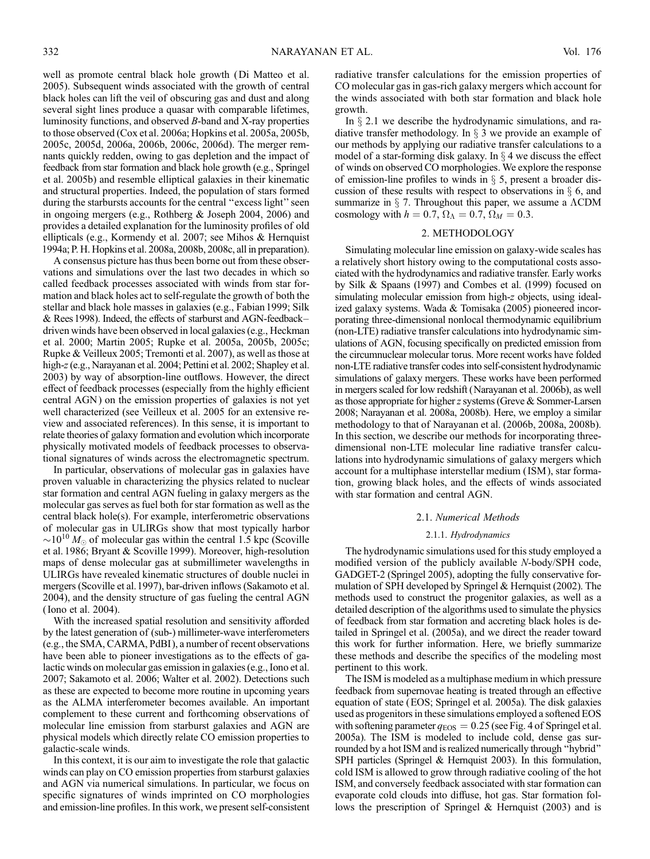well as promote central black hole growth (Di Matteo et al. 2005). Subsequent winds associated with the growth of central black holes can lift the veil of obscuring gas and dust and along several sight lines produce a quasar with comparable lifetimes, luminosity functions, and observed B-band and X-ray properties to those observed (Cox et al. 2006a; Hopkins et al. 2005a, 2005b, 2005c, 2005d, 2006a, 2006b, 2006c, 2006d). The merger remnants quickly redden, owing to gas depletion and the impact of feedback from star formation and black hole growth (e.g., Springel et al. 2005b) and resemble elliptical galaxies in their kinematic and structural properties. Indeed, the population of stars formed during the starbursts accounts for the central ''excess light'' seen in ongoing mergers (e.g., Rothberg & Joseph 2004, 2006) and provides a detailed explanation for the luminosity profiles of old ellipticals (e.g., Kormendy et al. 2007; see Mihos & Hernquist 1994a; P. H. Hopkins et al. 2008a, 2008b, 2008c, all in preparation).

A consensus picture has thus been borne out from these observations and simulations over the last two decades in which so called feedback processes associated with winds from star formation and black holes act to self-regulate the growth of both the stellar and black hole masses in galaxies (e.g., Fabian 1999; Silk  $&$  Rees 1998). Indeed, the effects of starburst and AGN-feedbackdriven winds have been observed in local galaxies (e.g., Heckman et al. 2000; Martin 2005; Rupke et al. 2005a, 2005b, 2005c; Rupke & Veilleux 2005; Tremonti et al. 2007), as well as those at high-z(e.g., Narayanan et al. 2004; Pettini et al. 2002; Shapley et al. 2003) by way of absorption-line outflows. However, the direct effect of feedback processes (especially from the highly efficient central AGN ) on the emission properties of galaxies is not yet well characterized (see Veilleux et al. 2005 for an extensive review and associated references). In this sense, it is important to relate theories of galaxy formation and evolution which incorporate physically motivated models of feedback processes to observational signatures of winds across the electromagnetic spectrum.

In particular, observations of molecular gas in galaxies have proven valuable in characterizing the physics related to nuclear star formation and central AGN fueling in galaxy mergers as the molecular gas serves as fuel both for star formation as well as the central black hole(s). For example, interferometric observations of molecular gas in ULIRGs show that most typically harbor  $\sim$ 10<sup>10</sup>  $M_{\odot}$  of molecular gas within the central 1.5 kpc (Scoville et al. 1986; Bryant & Scoville 1999). Moreover, high-resolution maps of dense molecular gas at submillimeter wavelengths in ULIRGs have revealed kinematic structures of double nuclei in mergers (Scoville et al.1997), bar-driven inflows (Sakamoto et al. 2004), and the density structure of gas fueling the central AGN ( Iono et al. 2004).

With the increased spatial resolution and sensitivity afforded by the latest generation of (sub-) millimeter-wave interferometers (e.g., the SMA, CARMA, PdBI ), a number of recent observations have been able to pioneer investigations as to the effects of galactic winds on molecular gas emission in galaxies (e.g., Iono et al. 2007; Sakamoto et al. 2006; Walter et al. 2002). Detections such as these are expected to become more routine in upcoming years as the ALMA interferometer becomes available. An important complement to these current and forthcoming observations of molecular line emission from starburst galaxies and AGN are physical models which directly relate CO emission properties to galactic-scale winds.

In this context, it is our aim to investigate the role that galactic winds can play on CO emission properties from starburst galaxies and AGN via numerical simulations. In particular, we focus on specific signatures of winds imprinted on CO morphologies and emission-line profiles. In this work, we present self-consistent radiative transfer calculations for the emission properties of CO molecular gas in gas-rich galaxy mergers which account for the winds associated with both star formation and black hole growth.

In  $\S$  2.1 we describe the hydrodynamic simulations, and radiative transfer methodology. In  $\S$  3 we provide an example of our methods by applying our radiative transfer calculations to a model of a star-forming disk galaxy. In  $\S 4$  we discuss the effect of winds on observed CO morphologies. We explore the response of emission-line profiles to winds in  $\S$  5, present a broader discussion of these results with respect to observations in  $\S$  6, and summarize in  $\S$  7. Throughout this paper, we assume a  $\Lambda$ CDM cosmology with  $h = 0.7$ ,  $\Omega_{\Lambda} = 0.7$ ,  $\Omega_M = 0.3$ .

## 2. METHODOLOGY

Simulating molecular line emission on galaxy-wide scales has a relatively short history owing to the computational costs associated with the hydrodynamics and radiative transfer. Early works by Silk & Spaans (1997) and Combes et al. (1999) focused on simulating molecular emission from high-z objects, using idealized galaxy systems. Wada & Tomisaka (2005) pioneered incorporating three-dimensional nonlocal thermodynamic equilibrium (non-LTE) radiative transfer calculations into hydrodynamic simulations of AGN, focusing specifically on predicted emission from the circumnuclear molecular torus. More recent works have folded non-LTE radiative transfer codes into self-consistent hydrodynamic simulations of galaxy mergers. These works have been performed in mergers scaled for low redshift (Narayanan et al. 2006b), as well as those appropriate for higher  $z$  systems (Greve  $\&$  Sommer-Larsen 2008; Narayanan et al. 2008a, 2008b). Here, we employ a similar methodology to that of Narayanan et al. (2006b, 2008a, 2008b). In this section, we describe our methods for incorporating threedimensional non-LTE molecular line radiative transfer calculations into hydrodynamic simulations of galaxy mergers which account for a multiphase interstellar medium ( ISM ), star formation, growing black holes, and the effects of winds associated with star formation and central AGN.

#### 2.1. Numerical Methods

### 2.1.1. Hydrodynamics

The hydrodynamic simulations used for this study employed a modified version of the publicly available N-body/SPH code, GADGET-2 (Springel 2005), adopting the fully conservative formulation of SPH developed by Springel & Hernquist (2002). The methods used to construct the progenitor galaxies, as well as a detailed description of the algorithms used to simulate the physics of feedback from star formation and accreting black holes is detailed in Springel et al. (2005a), and we direct the reader toward this work for further information. Here, we briefly summarize these methods and describe the specifics of the modeling most pertinent to this work.

The ISM is modeled as a multiphase medium in which pressure feedback from supernovae heating is treated through an effective equation of state (EOS; Springel et al. 2005a). The disk galaxies used as progenitors in these simulations employed a softened EOS with softening parameter  $q_{\rm EOS} = 0.25$  (see Fig. 4 of Springel et al. 2005a). The ISM is modeled to include cold, dense gas surrounded by a hot ISM and is realized numerically through ''hybrid'' SPH particles (Springel & Hernquist 2003). In this formulation, cold ISM is allowed to grow through radiative cooling of the hot ISM, and conversely feedback associated with star formation can evaporate cold clouds into diffuse, hot gas. Star formation follows the prescription of Springel & Hernquist (2003) and is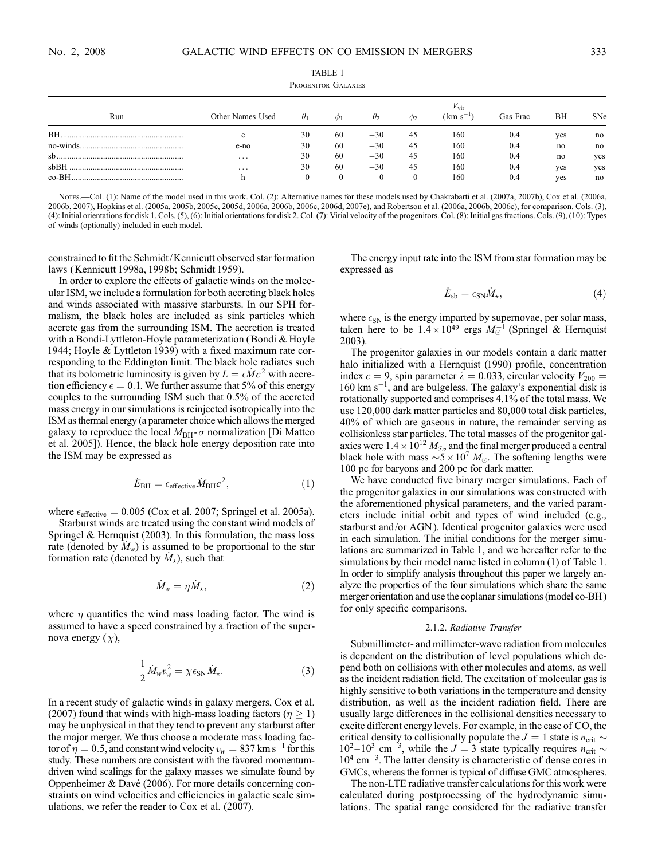## Progenitor Galaxies

| Run      | Other Names Used | $\theta_1$ | $\varphi_1$ | $\theta_2$ | $\varphi_2$ | $V_{\rm vir}$<br>$(km s^{-1})$ | Gas Frac | BH  | SNe |
|----------|------------------|------------|-------------|------------|-------------|--------------------------------|----------|-----|-----|
|          | e                | 30         | 60          | $-30$      | 45          | 160                            | 0.4      | ves | no  |
| no-winds | e-no             | 30         | 60          | $-30$      | 45          | 160                            | 0.4      | no  | no  |
|          | .                | 30         | 60          | $-30$      | 45          | 160                            | 0.4      | no  | yes |
|          | .                | 30         | 60          | $-30$      | 45          | 160                            | 0.4      | yes | yes |
| $co-BH$  |                  |            |             | $_{0}$     | $\theta$    | 160                            | 0.4      | yes | no  |

Notes.—Col. (1): Name of the model used in this work. Col. (2): Alternative names for these models used by Chakrabarti et al. (2007a, 2007b), Cox et al. (2006a, 2006b, 2007), Hopkins et al. (2005a, 2005b, 2005c, 2005d, 2006a, 2006b, 2006c, 2006d, 2007e), and Robertson et al. (2006a, 2006b, 2006c), for comparison. Cols. (3), (4): Initial orientations for disk 1. Cols. (5), (6): Initial orientations for disk 2. Col. (7): Virial velocity of the progenitors. Col. (8): Initial gas fractions. Cols. (9), (10): Types of winds (optionally) included in each model.

constrained to fit the Schmidt/Kennicutt observed star formation laws (Kennicutt 1998a, 1998b; Schmidt 1959).

In order to explore the effects of galactic winds on the molecular ISM, we include a formulation for both accreting black holes and winds associated with massive starbursts. In our SPH formalism, the black holes are included as sink particles which accrete gas from the surrounding ISM. The accretion is treated with a Bondi-Lyttleton-Hoyle parameterization (Bondi & Hoyle 1944; Hoyle & Lyttleton 1939) with a fixed maximum rate corresponding to the Eddington limit. The black hole radiates such that its bolometric luminosity is given by  $L = \epsilon M c^2$  with accretion efficiency  $\epsilon = 0.1$ . We further assume that 5% of this energy couples to the surrounding ISM such that 0.5% of the accreted mass energy in our simulations is reinjected isotropically into the ISM as thermal energy (a parameter choice which allows the merged galaxy to reproduce the local  $M_{BH}$ - $\sigma$  normalization [Di Matteo et al. 2005]). Hence, the black hole energy deposition rate into the ISM may be expressed as

$$
\dot{E}_{\rm BH} = \epsilon_{\rm effective} \dot{M}_{\rm BH} c^2,\tag{1}
$$

where  $\epsilon_{\text{effective}} = 0.005$  (Cox et al. 2007; Springel et al. 2005a).

Starburst winds are treated using the constant wind models of Springel & Hernquist (2003). In this formulation, the mass loss rate (denoted by  $M_w$ ) is assumed to be proportional to the star formation rate (denoted by  $M_{\star}$ ), such that

$$
\dot{M}_w = \eta \dot{M}_\star,\tag{2}
$$

where  $\eta$  quantifies the wind mass loading factor. The wind is assumed to have a speed constrained by a fraction of the supernova energy  $(\chi)$ ,

$$
\frac{1}{2}\dot{M}_{w}v_{w}^{2} = \chi \epsilon_{\rm SN} \dot{M}_{\star}.
$$
 (3)

In a recent study of galactic winds in galaxy mergers, Cox et al. (2007) found that winds with high-mass loading factors ( $\eta \ge 1$ ) may be unphysical in that they tend to prevent any starburst after the major merger. We thus choose a moderate mass loading factor of  $\eta = 0.5$ , and constant wind velocity  $v_w = 837 \text{ km s}^{-1}$  for this study. These numbers are consistent with the favored momentumdriven wind scalings for the galaxy masses we simulate found by Oppenheimer  $&$  Davé (2006). For more details concerning constraints on wind velocities and efficiencies in galactic scale simulations, we refer the reader to Cox et al. (2007).

The energy input rate into the ISM from star formation may be expressed as

$$
\dot{E}_{\rm sb} = \epsilon_{\rm SN} \dot{M}_{\star},\tag{4}
$$

where  $\epsilon_{SN}$  is the energy imparted by supernovae, per solar mass, taken here to be  $1.4 \times 10^{49}$  ergs  $M_{\odot}^{-1}$  (Springel & Hernquist 2003).

The progenitor galaxies in our models contain a dark matter halo initialized with a Hernquist (1990) profile, concentration index  $c = 9$ , spin parameter  $\lambda = 0.033$ , circular velocity  $V_{200} =$  $160 \text{ km s}^{-1}$ , and are bulgeless. The galaxy's exponential disk is rotationally supported and comprises 4.1% of the total mass. We use 120,000 dark matter particles and 80,000 total disk particles, 40% of which are gaseous in nature, the remainder serving as collisionless star particles. The total masses of the progenitor galaxies were  $1.4 \times 10^{12} M_{\odot}$ , and the final merger produced a central black hole with mass  $\sim 5 \times 10^7 M_{\odot}$ . The softening lengths were 100 pc for baryons and 200 pc for dark matter.

We have conducted five binary merger simulations. Each of the progenitor galaxies in our simulations was constructed with the aforementioned physical parameters, and the varied parameters include initial orbit and types of wind included (e.g., starburst and/or AGN ). Identical progenitor galaxies were used in each simulation. The initial conditions for the merger simulations are summarized in Table 1, and we hereafter refer to the simulations by their model name listed in column (1) of Table 1. In order to simplify analysis throughout this paper we largely analyze the properties of the four simulations which share the same merger orientation and use the coplanar simulations (model co-BH ) for only specific comparisons.

## 2.1.2. Radiative Transfer

Submillimeter- and millimeter-wave radiation from molecules is dependent on the distribution of level populations which depend both on collisions with other molecules and atoms, as well as the incident radiation field. The excitation of molecular gas is highly sensitive to both variations in the temperature and density distribution, as well as the incident radiation field. There are usually large differences in the collisional densities necessary to excite different energy levels. For example, in the case of CO, the critical density to collisionally populate the  $J = 1$  state is  $n_{\text{crit}} \sim$  $10^2 - 10^3$  cm<sup>-3</sup>, while the  $J = 3$  state typically requires  $n_{\text{crit}} \sim$  $10^4$  cm<sup>-3</sup>. The latter density is characteristic of dense cores in GMCs, whereas the former is typical of diffuse GMC atmospheres.

The non-LTE radiative transfer calculations for this work were calculated during postprocessing of the hydrodynamic simulations. The spatial range considered for the radiative transfer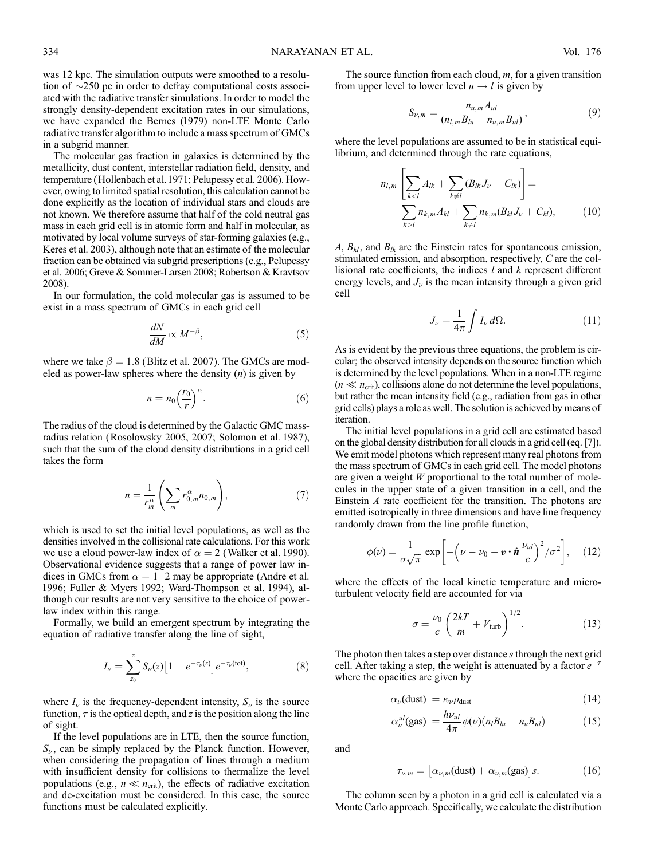was 12 kpc. The simulation outputs were smoothed to a resolution of  $\sim$ 250 pc in order to defray computational costs associated with the radiative transfer simulations. In order to model the strongly density-dependent excitation rates in our simulations, we have expanded the Bernes (1979) non-LTE Monte Carlo radiative transfer algorithm to include a mass spectrum of GMCs in a subgrid manner.

The molecular gas fraction in galaxies is determined by the metallicity, dust content, interstellar radiation field, density, and temperature (Hollenbach et al.1971; Pelupessy et al. 2006). However, owing to limited spatial resolution, this calculation cannot be done explicitly as the location of individual stars and clouds are not known. We therefore assume that half of the cold neutral gas mass in each grid cell is in atomic form and half in molecular, as motivated by local volume surveys of star-forming galaxies (e.g., Keres et al. 2003), although note that an estimate of the molecular fraction can be obtained via subgrid prescriptions (e.g., Pelupessy et al. 2006; Greve & Sommer-Larsen 2008; Robertson & Kravtsov 2008).

In our formulation, the cold molecular gas is assumed to be exist in a mass spectrum of GMCs in each grid cell

$$
\frac{dN}{dM} \propto M^{-\beta},\tag{5}
$$

where we take  $\beta = 1.8$  (Blitz et al. 2007). The GMCs are modeled as power-law spheres where the density  $(n)$  is given by

$$
n = n_0 \left(\frac{r_0}{r}\right)^{\alpha}.\tag{6}
$$

The radius of the cloud is determined by the Galactic GMC massradius relation (Rosolowsky 2005, 2007; Solomon et al. 1987), such that the sum of the cloud density distributions in a grid cell takes the form

$$
n = \frac{1}{r_m^{\alpha}} \left( \sum_m r_{0,m}^{\alpha} n_{0,m} \right), \tag{7}
$$

which is used to set the initial level populations, as well as the densities involved in the collisional rate calculations. For this work we use a cloud power-law index of  $\alpha = 2$  (Walker et al. 1990). Observational evidence suggests that a range of power law indices in GMCs from  $\alpha = 1-2$  may be appropriate (Andre et al. 1996; Fuller & Myers 1992; Ward-Thompson et al. 1994), although our results are not very sensitive to the choice of powerlaw index within this range.

Formally, we build an emergent spectrum by integrating the equation of radiative transfer along the line of sight,

$$
I_{\nu} = \sum_{z_0}^{z} S_{\nu}(z) \left[ 1 - e^{-\tau_{\nu}(z)} \right] e^{-\tau_{\nu}(\text{tot})}, \tag{8}
$$

where  $I_{\nu}$  is the frequency-dependent intensity,  $S_{\nu}$  is the source function,  $\tau$  is the optical depth, and z is the position along the line of sight.

If the level populations are in LTE, then the source function,  $S_{\nu}$ , can be simply replaced by the Planck function. However, when considering the propagation of lines through a medium with insufficient density for collisions to thermalize the level populations (e.g.,  $n \ll n_{\text{crit}}$ ), the effects of radiative excitation and de-excitation must be considered. In this case, the source functions must be calculated explicitly.

The source function from each cloud,  $m$ , for a given transition from upper level to lower level  $u \rightarrow l$  is given by

$$
S_{\nu,m} = \frac{n_{u,m} A_{ul}}{(n_{l,m} B_{lu} - n_{u,m} B_{ul})},
$$
\n(9)

where the level populations are assumed to be in statistical equilibrium, and determined through the rate equations,

$$
n_{l,m} \left[ \sum_{k < l} A_{lk} + \sum_{k \neq l} (B_{lk} J_{\nu} + C_{lk}) \right] = \sum_{k > l} n_{k,m} A_{kl} + \sum_{k \neq l} n_{k,m} (B_{kl} J_{\nu} + C_{kl}), \tag{10}
$$

 $A, B_{kl}$ , and  $B_{lk}$  are the Einstein rates for spontaneous emission, stimulated emission, and absorption, respectively, C are the collisional rate coefficients, the indices  $l$  and  $k$  represent different energy levels, and  $J_{\nu}$  is the mean intensity through a given grid cell

$$
J_{\nu} = \frac{1}{4\pi} \int I_{\nu} d\Omega. \tag{11}
$$

As is evident by the previous three equations, the problem is circular; the observed intensity depends on the source function which is determined by the level populations. When in a non-LTE regime  $(n \ll n_{\text{crit}})$ , collisions alone do not determine the level populations, but rather the mean intensity field (e.g., radiation from gas in other grid cells) plays a role as well. The solution is achieved by means of iteration.

The initial level populations in a grid cell are estimated based on the global density distribution for all clouds in a grid cell (eq. [7]). We emit model photons which represent many real photons from the mass spectrum of GMCs in each grid cell. The model photons are given a weight W proportional to the total number of molecules in the upper state of a given transition in a cell, and the Einstein A rate coefficient for the transition. The photons are emitted isotropically in three dimensions and have line frequency randomly drawn from the line profile function,

$$
\phi(\nu) = \frac{1}{\sigma\sqrt{\pi}} \exp\left[-\left(\nu - \nu_0 - \mathbf{v}\cdot\hat{\mathbf{n}}\frac{\nu_{ul}}{c}\right)^2/\sigma^2\right], \quad (12)
$$

where the effects of the local kinetic temperature and microturbulent velocity field are accounted for via

$$
\sigma = \frac{\nu_0}{c} \left( \frac{2kT}{m} + V_{\text{turb}} \right)^{1/2}.
$$
 (13)

The photon then takes a step over distance s through the next grid cell. After taking a step, the weight is attenuated by a factor  $e^{-\tau}$ where the opacities are given by

$$
\alpha_{\nu}(\text{dust}) = \kappa_{\nu} \rho_{\text{dust}} \tag{14}
$$

$$
\alpha_{\nu}^{ul}(\text{gas}) = \frac{h\nu_{ul}}{4\pi} \phi(\nu) (n_l B_{lu} - n_u B_{ul}) \tag{15}
$$

and

$$
\tau_{\nu,m} = \left[ \alpha_{\nu,m}(\text{dust}) + \alpha_{\nu,m}(\text{gas}) \right] s. \tag{16}
$$

The column seen by a photon in a grid cell is calculated via a Monte Carlo approach. Specifically, we calculate the distribution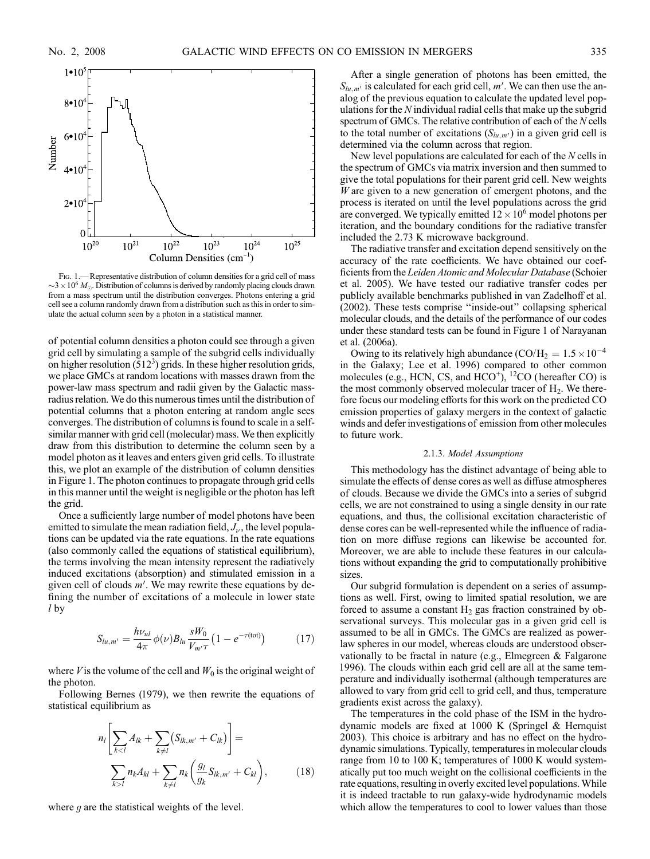

Fig. 1.—Representative distribution of column densities for a grid cell of mass  $\sim$ 3  $\times$  10<sup>6</sup>  $M_{\odot}$ . Distribution of columns is derived by randomly placing clouds drawn from a mass spectrum until the distribution converges. Photons entering a grid cell see a column randomly drawn from a distribution such as this in order to simulate the actual column seen by a photon in a statistical manner.

of potential column densities a photon could see through a given grid cell by simulating a sample of the subgrid cells individually on higher resolution  $(512^3)$  grids. In these higher resolution grids, we place GMCs at random locations with masses drawn from the power-law mass spectrum and radii given by the Galactic massradius relation. We do this numerous times until the distribution of potential columns that a photon entering at random angle sees converges. The distribution of columns is found to scale in a selfsimilar manner with grid cell (molecular) mass. We then explicitly draw from this distribution to determine the column seen by a model photon as it leaves and enters given grid cells. To illustrate this, we plot an example of the distribution of column densities in Figure 1. The photon continues to propagate through grid cells in this manner until the weight is negligible or the photon has left the grid.

Once a sufficiently large number of model photons have been emitted to simulate the mean radiation field,  $J_{\nu}$ , the level populations can be updated via the rate equations. In the rate equations (also commonly called the equations of statistical equilibrium), the terms involving the mean intensity represent the radiatively induced excitations (absorption) and stimulated emission in a given cell of clouds  $m'$ . We may rewrite these equations by defining the number of excitations of a molecule in lower state l by

$$
S_{lu,m'} = \frac{h\nu_{ul}}{4\pi} \phi(\nu) B_{lu} \frac{sW_0}{V_{m'}\tau} \left(1 - e^{-\tau(\text{tot})}\right) \tag{17}
$$

where V is the volume of the cell and  $W_0$  is the original weight of the photon.

Following Bernes (1979), we then rewrite the equations of statistical equilibrium as

$$
n_{l} \left[ \sum_{k < l} A_{lk} + \sum_{k \neq l} (S_{lk,m'} + C_{lk}) \right] = \sum_{k > l} n_{k} A_{kl} + \sum_{k \neq l} n_{k} \left( \frac{g_{l}}{g_{k}} S_{lk,m'} + C_{kl} \right), \tag{18}
$$

where  $q$  are the statistical weights of the level.

After a single generation of photons has been emitted, the  $S_{lu,m'}$  is calculated for each grid cell, m'. We can then use the analog of the previous equation to calculate the updated level populations for the N individual radial cells that make up the subgrid spectrum of GMCs. The relative contribution of each of the N cells to the total number of excitations  $(S_{lu,m})$  in a given grid cell is determined via the column across that region.

New level populations are calculated for each of the N cells in the spectrum of GMCs via matrix inversion and then summed to give the total populations for their parent grid cell. New weights  $W$  are given to a new generation of emergent photons, and the process is iterated on until the level populations across the grid are converged. We typically emitted  $12 \times 10^6$  model photons per iteration, and the boundary conditions for the radiative transfer included the 2.73 K microwave background.

The radiative transfer and excitation depend sensitively on the accuracy of the rate coefficients. We have obtained our coefficients from the Leiden Atomic and Molecular Database (Schoier et al. 2005). We have tested our radiative transfer codes per publicly available benchmarks published in van Zadelhoff et al. (2002). These tests comprise ''inside-out'' collapsing spherical molecular clouds, and the details of the performance of our codes under these standard tests can be found in Figure 1 of Narayanan et al. (2006a).

Owing to its relatively high abundance (CO/H<sub>2</sub> =  $1.5 \times 10^{-4}$ ) in the Galaxy; Lee et al. 1996) compared to other common molecules (e.g., HCN, CS, and  $HCO<sup>+</sup>$ ), <sup>12</sup>CO (hereafter CO) is the most commonly observed molecular tracer of  $H<sub>2</sub>$ . We therefore focus our modeling efforts for this work on the predicted CO emission properties of galaxy mergers in the context of galactic winds and defer investigations of emission from other molecules to future work.

#### 2.1.3. Model Assumptions

This methodology has the distinct advantage of being able to simulate the effects of dense cores as well as diffuse atmospheres of clouds. Because we divide the GMCs into a series of subgrid cells, we are not constrained to using a single density in our rate equations, and thus, the collisional excitation characteristic of dense cores can be well-represented while the influence of radiation on more diffuse regions can likewise be accounted for. Moreover, we are able to include these features in our calculations without expanding the grid to computationally prohibitive sizes.

Our subgrid formulation is dependent on a series of assumptions as well. First, owing to limited spatial resolution, we are forced to assume a constant  $H_2$  gas fraction constrained by observational surveys. This molecular gas in a given grid cell is assumed to be all in GMCs. The GMCs are realized as powerlaw spheres in our model, whereas clouds are understood observationally to be fractal in nature (e.g., Elmegreen & Falgarone 1996). The clouds within each grid cell are all at the same temperature and individually isothermal (although temperatures are allowed to vary from grid cell to grid cell, and thus, temperature gradients exist across the galaxy).

The temperatures in the cold phase of the ISM in the hydrodynamic models are fixed at 1000 K (Springel & Hernquist 2003). This choice is arbitrary and has no effect on the hydrodynamic simulations. Typically, temperatures in molecular clouds range from 10 to 100 K; temperatures of 1000 K would systematically put too much weight on the collisional coefficients in the rate equations, resulting in overly excited level populations. While it is indeed tractable to run galaxy-wide hydrodynamic models which allow the temperatures to cool to lower values than those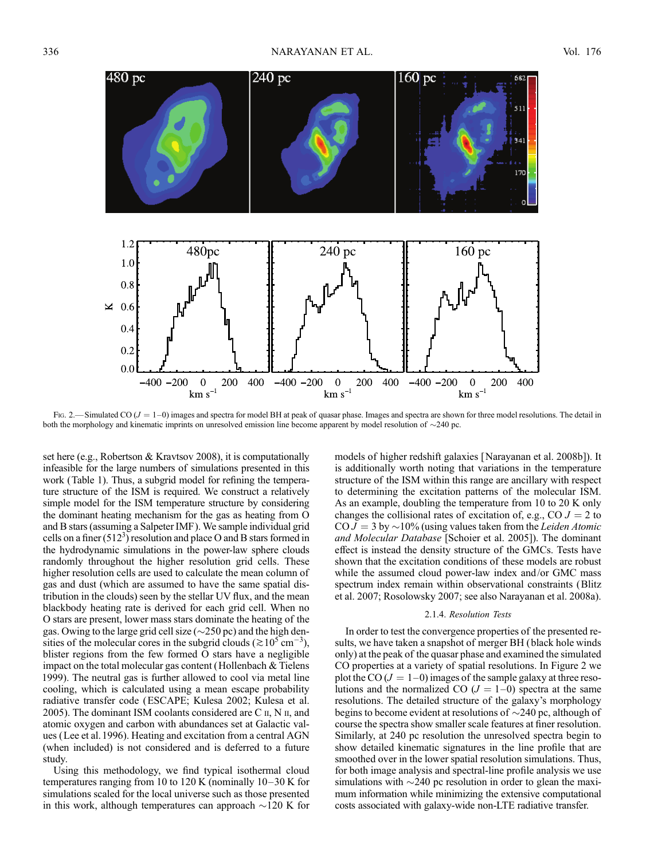

Fig. 2.— Simulated CO ( $J = 1-0$ ) images and spectra for model BH at peak of quasar phase. Images and spectra are shown for three model resolutions. The detail in both the morphology and kinematic imprints on unresolved emission line become apparent by model resolution of  $\sim$ 240 pc.

set here (e.g., Robertson & Kravtsov 2008), it is computationally infeasible for the large numbers of simulations presented in this work (Table 1). Thus, a subgrid model for refining the temperature structure of the ISM is required. We construct a relatively simple model for the ISM temperature structure by considering the dominant heating mechanism for the gas as heating from O and B stars (assuming a Salpeter IMF). We sample individual grid cells on a finer  $(512^3)$  resolution and place O and B stars formed in the hydrodynamic simulations in the power-law sphere clouds randomly throughout the higher resolution grid cells. These higher resolution cells are used to calculate the mean column of gas and dust (which are assumed to have the same spatial distribution in the clouds) seen by the stellar UV flux, and the mean blackbody heating rate is derived for each grid cell. When no O stars are present, lower mass stars dominate the heating of the gas. Owing to the large grid cell size  $(\sim 250 \,\text{pc})$  and the high densities of the molecular cores in the subgrid clouds ( $\gtrsim 10^5$  cm<sup>-3</sup>), blister regions from the few formed O stars have a negligible impact on the total molecular gas content (Hollenbach & Tielens 1999). The neutral gas is further allowed to cool via metal line cooling, which is calculated using a mean escape probability radiative transfer code (ESCAPE; Kulesa 2002; Kulesa et al. 2005). The dominant ISM coolants considered are C  $II$ , N  $II$ , and atomic oxygen and carbon with abundances set at Galactic values (Lee et al. 1996). Heating and excitation from a central AGN (when included) is not considered and is deferred to a future study.

Using this methodology, we find typical isothermal cloud temperatures ranging from 10 to 120 K (nominally  $10-30$  K for simulations scaled for the local universe such as those presented in this work, although temperatures can approach  $\sim$  120 K for

models of higher redshift galaxies [Narayanan et al. 2008b]). It is additionally worth noting that variations in the temperature structure of the ISM within this range are ancillary with respect to determining the excitation patterns of the molecular ISM. As an example, doubling the temperature from 10 to 20 K only changes the collisional rates of excitation of, e.g.,  $CO J = 2$  to  $CO J = 3$  by  $\sim$ 10% (using values taken from the Leiden Atomic and Molecular Database [Schoier et al. 2005]). The dominant effect is instead the density structure of the GMCs. Tests have shown that the excitation conditions of these models are robust while the assumed cloud power-law index and/or GMC mass spectrum index remain within observational constraints (Blitz et al. 2007; Rosolowsky 2007; see also Narayanan et al. 2008a).

#### 2.1.4. Resolution Tests

In order to test the convergence properties of the presented results, we have taken a snapshot of merger BH (black hole winds only) at the peak of the quasar phase and examined the simulated CO properties at a variety of spatial resolutions. In Figure 2 we plot the CO ( $J = 1-0$ ) images of the sample galaxy at three resolutions and the normalized CO  $(J = 1-0)$  spectra at the same resolutions. The detailed structure of the galaxy's morphology begins to become evident at resolutions of  $\sim$ 240 pc, although of course the spectra show smaller scale features at finer resolution. Similarly, at 240 pc resolution the unresolved spectra begin to show detailed kinematic signatures in the line profile that are smoothed over in the lower spatial resolution simulations. Thus, for both image analysis and spectral-line profile analysis we use simulations with  $\sim$ 240 pc resolution in order to glean the maximum information while minimizing the extensive computational costs associated with galaxy-wide non-LTE radiative transfer.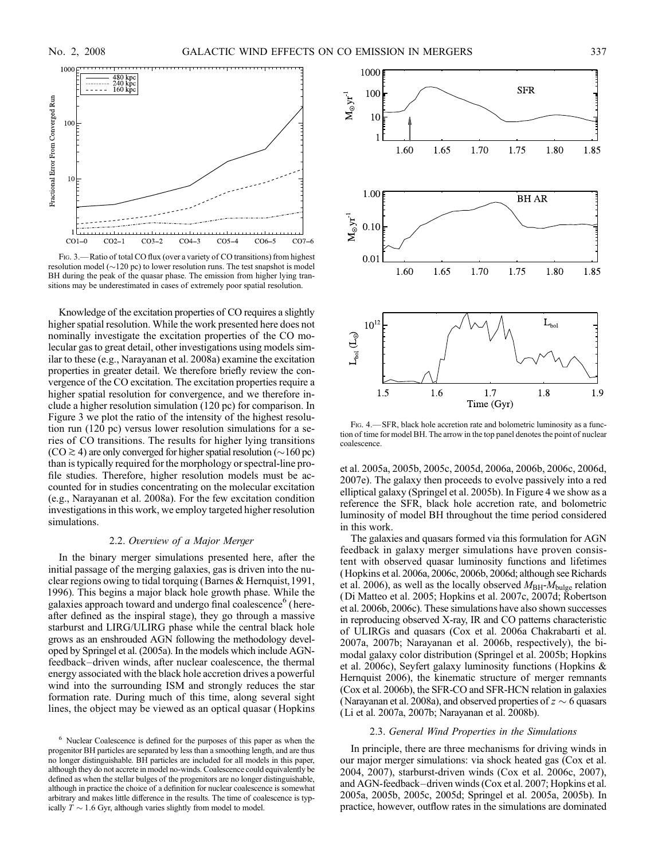

FIG. 3. - Ratio of total CO flux (over a variety of CO transitions) from highest resolution model ( $\sim$ 120 pc) to lower resolution runs. The test snapshot is model BH during the peak of the quasar phase. The emission from higher lying transitions may be underestimated in cases of extremely poor spatial resolution.

Knowledge of the excitation properties of CO requires a slightly higher spatial resolution. While the work presented here does not nominally investigate the excitation properties of the CO molecular gas to great detail, other investigations using models similar to these (e.g., Narayanan et al. 2008a) examine the excitation properties in greater detail. We therefore briefly review the convergence of the CO excitation. The excitation properties require a higher spatial resolution for convergence, and we therefore include a higher resolution simulation (120 pc) for comparison. In Figure 3 we plot the ratio of the intensity of the highest resolution run (120 pc) versus lower resolution simulations for a series of CO transitions. The results for higher lying transitions  $(CO \geq 4)$  are only converged for higher spatial resolution ( $\sim$ 160 pc) than is typically required for the morphology or spectral-line profile studies. Therefore, higher resolution models must be accounted for in studies concentrating on the molecular excitation (e.g., Narayanan et al. 2008a). For the few excitation condition investigations in this work, we employ targeted higher resolution simulations.

#### 2.2. Overview of a Major Merger

In the binary merger simulations presented here, after the initial passage of the merging galaxies, gas is driven into the nuclear regions owing to tidal torquing (Barnes & Hernquist,1991, 1996). This begins a major black hole growth phase. While the galaxies approach toward and undergo final coalescence<sup>6</sup> (hereafter defined as the inspiral stage), they go through a massive starburst and LIRG/ULIRG phase while the central black hole grows as an enshrouded AGN following the methodology developed by Springel et al. (2005a). In the models which include AGNfeedback-driven winds, after nuclear coalescence, the thermal energy associated with the black hole accretion drives a powerful wind into the surrounding ISM and strongly reduces the star formation rate. During much of this time, along several sight lines, the object may be viewed as an optical quasar (Hopkins



FIG. 4. SFR, black hole accretion rate and bolometric luminosity as a function of time for model BH. The arrow in the top panel denotes the point of nuclear coalescence.

et al. 2005a, 2005b, 2005c, 2005d, 2006a, 2006b, 2006c, 2006d, 2007e). The galaxy then proceeds to evolve passively into a red elliptical galaxy (Springel et al. 2005b). In Figure 4 we show as a reference the SFR, black hole accretion rate, and bolometric luminosity of model BH throughout the time period considered in this work.

The galaxies and quasars formed via this formulation for AGN feedback in galaxy merger simulations have proven consistent with observed quasar luminosity functions and lifetimes (Hopkins et al. 2006a, 2006c, 2006b, 2006d; although see Richards et al. 2006), as well as the locally observed  $M_{\rm BH}$ - $M_{\rm bulge}$  relation (Di Matteo et al. 2005; Hopkins et al. 2007c, 2007d; Robertson et al. 2006b, 2006c). These simulations have also shown successes in reproducing observed X-ray, IR and CO patterns characteristic of ULIRGs and quasars (Cox et al. 2006a Chakrabarti et al. 2007a, 2007b; Narayanan et al. 2006b, respectively), the bimodal galaxy color distribution (Springel et al. 2005b; Hopkins et al. 2006c), Seyfert galaxy luminosity functions (Hopkins & Hernquist 2006), the kinematic structure of merger remnants (Cox et al. 2006b), the SFR-CO and SFR-HCN relation in galaxies (Narayanan et al. 2008a), and observed properties of  $z \sim 6$  quasars (Li et al. 2007a, 2007b; Narayanan et al. 2008b).

## 2.3. General Wind Properties in the Simulations

In principle, there are three mechanisms for driving winds in our major merger simulations: via shock heated gas (Cox et al. 2004, 2007), starburst-driven winds (Cox et al. 2006c, 2007), and AGN-feedback-driven winds (Cox et al. 2007; Hopkins et al. 2005a, 2005b, 2005c, 2005d; Springel et al. 2005a, 2005b). In practice, however, outflow rates in the simulations are dominated

<sup>6</sup> Nuclear Coalescence is defined for the purposes of this paper as when the progenitor BH particles are separated by less than a smoothing length, and are thus no longer distinguishable. BH particles are included for all models in this paper, although they do not accrete in model no-winds. Coalescence could equivalently be defined as when the stellar bulges of the progenitors are no longer distinguishable, although in practice the choice of a definition for nuclear coalescence is somewhat arbitrary and makes little difference in the results. The time of coalescence is typically  $T \sim 1.6$  Gyr, although varies slightly from model to model.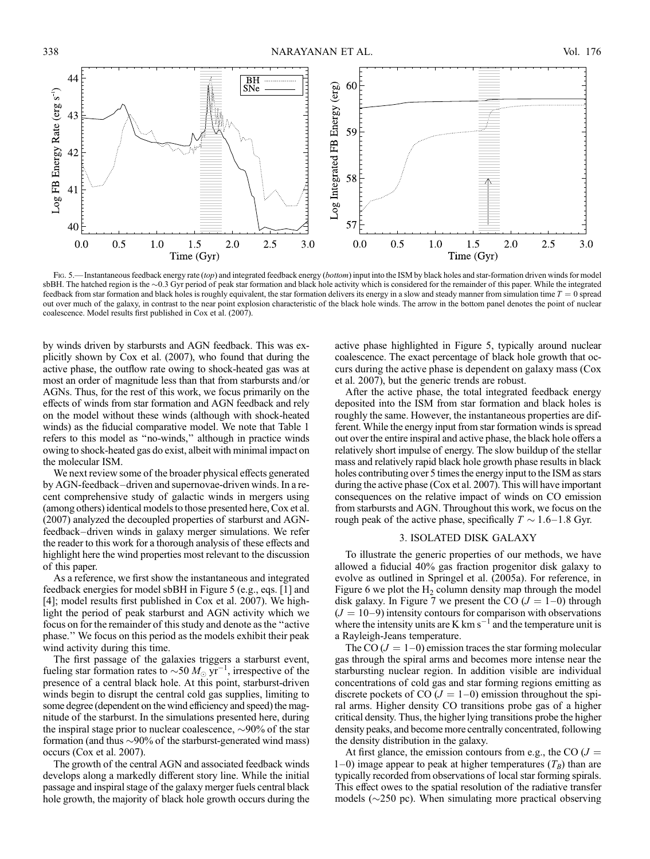

Fig. 5.—Instantaneous feedback energy rate (top) and integrated feedback energy (bottom) input into the ISM by black holes and star-formation driven winds for model sbBH. The hatched region is the  $\sim$ 0.3 Gyr period of peak star formation and black hole activity which is considered for the remainder of this paper. While the integrated feedback from star formation and black holes is roughly equivalent, the star formation delivers its energy in a slow and steady manner from simulation time  $T = 0$  spread out over much of the galaxy, in contrast to the near point explosion characteristic of the black hole winds. The arrow in the bottom panel denotes the point of nuclear coalescence. Model results first published in Cox et al. (2007).

by winds driven by starbursts and AGN feedback. This was explicitly shown by Cox et al. (2007), who found that during the active phase, the outflow rate owing to shock-heated gas was at most an order of magnitude less than that from starbursts and/or AGNs. Thus, for the rest of this work, we focus primarily on the effects of winds from star formation and AGN feedback and rely on the model without these winds (although with shock-heated winds) as the fiducial comparative model. We note that Table 1 refers to this model as ''no-winds,'' although in practice winds owing to shock-heated gas do exist, albeit with minimal impact on the molecular ISM.

We next review some of the broader physical effects generated by AGN-feedback-driven and supernovae-driven winds. In a recent comprehensive study of galactic winds in mergers using (among others) identical models to those presented here, Cox et al. (2007) analyzed the decoupled properties of starburst and AGNfeedback–driven winds in galaxy merger simulations. We refer the reader to this work for a thorough analysis of these effects and highlight here the wind properties most relevant to the discussion of this paper.

As a reference, we first show the instantaneous and integrated feedback energies for model sbBH in Figure 5 (e.g., eqs. [1] and [4]; model results first published in Cox et al. 2007). We highlight the period of peak starburst and AGN activity which we focus on for the remainder of this study and denote as the ''active phase.'' We focus on this period as the models exhibit their peak wind activity during this time.

The first passage of the galaxies triggers a starburst event, fueling star formation rates to  $\sim$  50  $M_{\odot}$  yr<sup>-1</sup>, irrespective of the presence of a central black hole. At this point, starburst-driven winds begin to disrupt the central cold gas supplies, limiting to some degree (dependent on the wind efficiency and speed) the magnitude of the starburst. In the simulations presented here, during the inspiral stage prior to nuclear coalescence,  $\sim$ 90% of the star formation (and thus  $\sim 90\%$  of the starburst-generated wind mass) occurs (Cox et al. 2007).

The growth of the central AGN and associated feedback winds develops along a markedly different story line. While the initial passage and inspiral stage of the galaxy merger fuels central black hole growth, the majority of black hole growth occurs during the active phase highlighted in Figure 5, typically around nuclear coalescence. The exact percentage of black hole growth that occurs during the active phase is dependent on galaxy mass (Cox et al. 2007), but the generic trends are robust.

After the active phase, the total integrated feedback energy deposited into the ISM from star formation and black holes is roughly the same. However, the instantaneous properties are different. While the energy input from star formation winds is spread out over the entire inspiral and active phase, the black hole offers a relatively short impulse of energy. The slow buildup of the stellar mass and relatively rapid black hole growth phase results in black holes contributing over 5 times the energy input to the ISM as stars during the active phase (Cox et al. 2007). This will have important consequences on the relative impact of winds on CO emission from starbursts and AGN. Throughout this work, we focus on the rough peak of the active phase, specifically  $T \sim 1.6-1.8$  Gyr.

## 3. ISOLATED DISK GALAXY

To illustrate the generic properties of our methods, we have allowed a fiducial 40% gas fraction progenitor disk galaxy to evolve as outlined in Springel et al. (2005a). For reference, in Figure 6 we plot the  $H_2$  column density map through the model disk galaxy. In Figure 7 we present the CO  $(J = 1-0)$  through  $(J = 10-9)$  intensity contours for comparison with observations where the intensity units are K km  $s^{-1}$  and the temperature unit is a Rayleigh-Jeans temperature.

The CO  $(J = 1-0)$  emission traces the star forming molecular gas through the spiral arms and becomes more intense near the starbursting nuclear region. In addition visible are individual concentrations of cold gas and star forming regions emitting as discrete pockets of CO ( $J = 1-0$ ) emission throughout the spiral arms. Higher density CO transitions probe gas of a higher critical density. Thus, the higher lying transitions probe the higher density peaks, and become more centrally concentrated, following the density distribution in the galaxy.

At first glance, the emission contours from e.g., the CO  $(J =$  $(1-0)$  image appear to peak at higher temperatures  $(T_B)$  than are typically recorded from observations of local star forming spirals. This effect owes to the spatial resolution of the radiative transfer models  $(\sim 250 \text{ pc})$ . When simulating more practical observing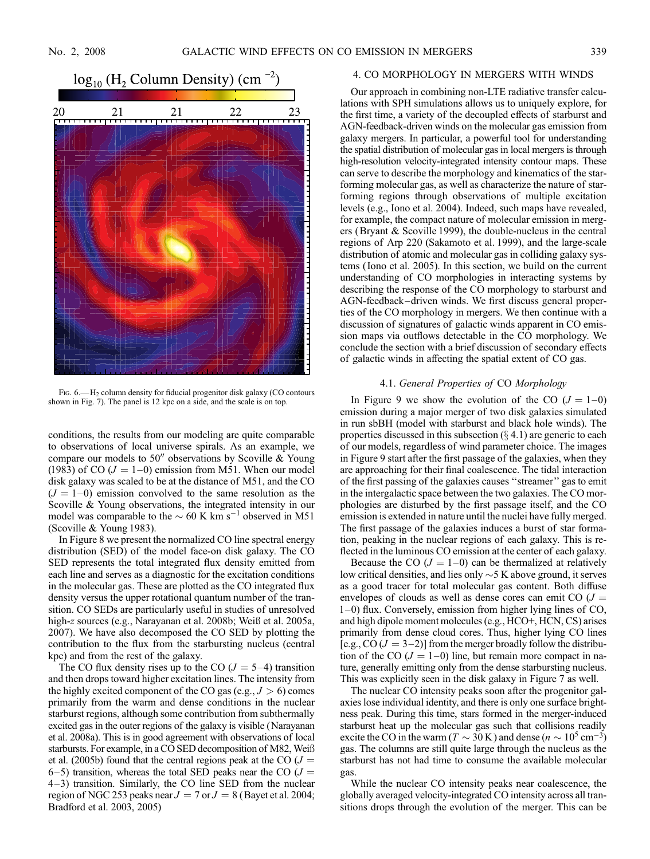

Fig.  $6 - H_2$  column density for fiducial progenitor disk galaxy (CO contours shown in Fig. 7). The panel is 12 kpc on a side, and the scale is on top.

conditions, the results from our modeling are quite comparable to observations of local universe spirals. As an example, we compare our models to  $50''$  observations by Scoville & Young (1983) of CO ( $J = 1-0$ ) emission from M51. When our model disk galaxy was scaled to be at the distance of M51, and the CO  $(J = 1-0)$  emission convolved to the same resolution as the Scoville & Young observations, the integrated intensity in our model was comparable to the  $\sim 60$  K km s<sup>-1</sup> observed in M51 (Scoville & Young 1983).

In Figure 8 we present the normalized CO line spectral energy distribution (SED) of the model face-on disk galaxy. The CO SED represents the total integrated flux density emitted from each line and serves as a diagnostic for the excitation conditions in the molecular gas. These are plotted as the CO integrated flux density versus the upper rotational quantum number of the transition. CO SEDs are particularly useful in studies of unresolved high-z sources (e.g., Narayanan et al. 2008b; Weiß et al. 2005a, 2007). We have also decomposed the CO SED by plotting the contribution to the flux from the starbursting nucleus (central kpc) and from the rest of the galaxy.

The CO flux density rises up to the CO  $(J = 5-4)$  transition and then drops toward higher excitation lines. The intensity from the highly excited component of the CO gas (e.g.,  $J > 6$ ) comes primarily from the warm and dense conditions in the nuclear starburst regions, although some contribution from subthermally excited gas in the outer regions of the galaxy is visible (Narayanan et al. 2008a). This is in good agreement with observations of local starbursts. For example, in a CO SED decomposition of M82, Weiß et al. (2005b) found that the central regions peak at the CO  $(J =$ 6–5) transition, whereas the total SED peaks near the CO ( $J =$  $(4-3)$  transition. Similarly, the CO line SED from the nuclear region of NGC 253 peaks near  $J = 7$  or  $J = 8$  (Bayet et al. 2004; Bradford et al. 2003, 2005)

## 4. CO MORPHOLOGY IN MERGERS WITH WINDS

Our approach in combining non-LTE radiative transfer calculations with SPH simulations allows us to uniquely explore, for the first time, a variety of the decoupled effects of starburst and AGN-feedback-driven winds on the molecular gas emission from galaxy mergers. In particular, a powerful tool for understanding the spatial distribution of molecular gas in local mergers is through high-resolution velocity-integrated intensity contour maps. These can serve to describe the morphology and kinematics of the starforming molecular gas, as well as characterize the nature of starforming regions through observations of multiple excitation levels (e.g., Iono et al. 2004). Indeed, such maps have revealed, for example, the compact nature of molecular emission in mergers (Bryant & Scoville 1999), the double-nucleus in the central regions of Arp 220 (Sakamoto et al. 1999), and the large-scale distribution of atomic and molecular gas in colliding galaxy systems ( Iono et al. 2005). In this section, we build on the current understanding of CO morphologies in interacting systems by describing the response of the CO morphology to starburst and AGN-feedback-driven winds. We first discuss general properties of the CO morphology in mergers. We then continue with a discussion of signatures of galactic winds apparent in CO emission maps via outflows detectable in the CO morphology. We conclude the section with a brief discussion of secondary effects of galactic winds in affecting the spatial extent of CO gas.

## 4.1. General Properties of CO Morphology

In Figure 9 we show the evolution of the CO  $(J = 1-0)$ emission during a major merger of two disk galaxies simulated in run sbBH (model with starburst and black hole winds). The properties discussed in this subsection  $(\S 4.1)$  are generic to each of our models, regardless of wind parameter choice. The images in Figure 9 start after the first passage of the galaxies, when they are approaching for their final coalescence. The tidal interaction of the first passing of the galaxies causes ''streamer'' gas to emit in the intergalactic space between the two galaxies. The CO morphologies are disturbed by the first passage itself, and the CO emission is extended in nature until the nuclei have fully merged. The first passage of the galaxies induces a burst of star formation, peaking in the nuclear regions of each galaxy. This is reflected in the luminous CO emission at the center of each galaxy.

Because the CO ( $J = 1-0$ ) can be thermalized at relatively low critical densities, and lies only  $\sim$  5 K above ground, it serves as a good tracer for total molecular gas content. Both diffuse envelopes of clouds as well as dense cores can emit CO  $(J =$  $1-0$ ) flux. Conversely, emission from higher lying lines of CO, and high dipole moment molecules (e.g., HCO+, HCN, CS) arises primarily from dense cloud cores. Thus, higher lying CO lines [e.g.,  $CO (J = 3-2)$ ] from the merger broadly follow the distribution of the CO ( $J = 1-0$ ) line, but remain more compact in nature, generally emitting only from the dense starbursting nucleus. This was explicitly seen in the disk galaxy in Figure 7 as well.

The nuclear CO intensity peaks soon after the progenitor galaxies lose individual identity, and there is only one surface brightness peak. During this time, stars formed in the merger-induced starburst heat up the molecular gas such that collisions readily excite the CO in the warm ( $T \sim 30$  K) and dense ( $n \sim 10^5$  cm<sup>-3</sup>) gas. The columns are still quite large through the nucleus as the starburst has not had time to consume the available molecular gas

While the nuclear CO intensity peaks near coalescence, the globally averaged velocity-integrated CO intensity across all transitions drops through the evolution of the merger. This can be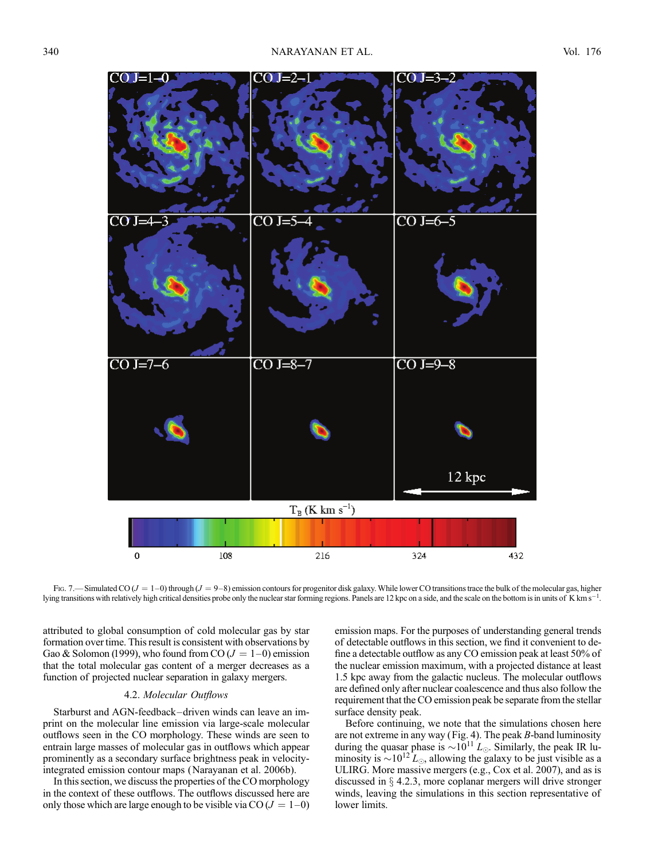

Fig. 7.— Simulated CO ( $J = 1-0$ ) through ( $J = 9-8$ ) emission contours for progenitor disk galaxy. While lower CO transitions trace the bulk of the molecular gas, higher lying transitions with relatively high critical densities probe only the nuclear star forming regions. Panels are 12 kpc on a side, and the scale on the bottom is in units of K km s<sup>-1</sup>.

attributed to global consumption of cold molecular gas by star formation over time. This result is consistent with observations by Gao & Solomon (1999), who found from CO ( $J = 1-0$ ) emission that the total molecular gas content of a merger decreases as a function of projected nuclear separation in galaxy mergers.

## 4.2. Molecular Outflows

Starburst and AGN-feedback-driven winds can leave an imprint on the molecular line emission via large-scale molecular outflows seen in the CO morphology. These winds are seen to entrain large masses of molecular gas in outflows which appear prominently as a secondary surface brightness peak in velocityintegrated emission contour maps (Narayanan et al. 2006b).

In this section, we discuss the properties of the CO morphology in the context of these outflows. The outflows discussed here are only those which are large enough to be visible via CO  $(J = 1-0)$  emission maps. For the purposes of understanding general trends of detectable outflows in this section, we find it convenient to define a detectable outflow as any CO emission peak at least 50% of the nuclear emission maximum, with a projected distance at least 1.5 kpc away from the galactic nucleus. The molecular outflows are defined only after nuclear coalescence and thus also follow the requirement that the CO emission peak be separate from the stellar surface density peak.

Before continuing, we note that the simulations chosen here are not extreme in any way (Fig. 4). The peak B-band luminosity during the quasar phase is  $\sim 10^{11} L_{\odot}$ . Similarly, the peak IR luminosity is  $\sim 10^{12} L_{\odot}$ , allowing the galaxy to be just visible as a ULIRG. More massive mergers (e.g., Cox et al. 2007), and as is discussed in  $\S$  4.2.3, more coplanar mergers will drive stronger winds, leaving the simulations in this section representative of lower limits.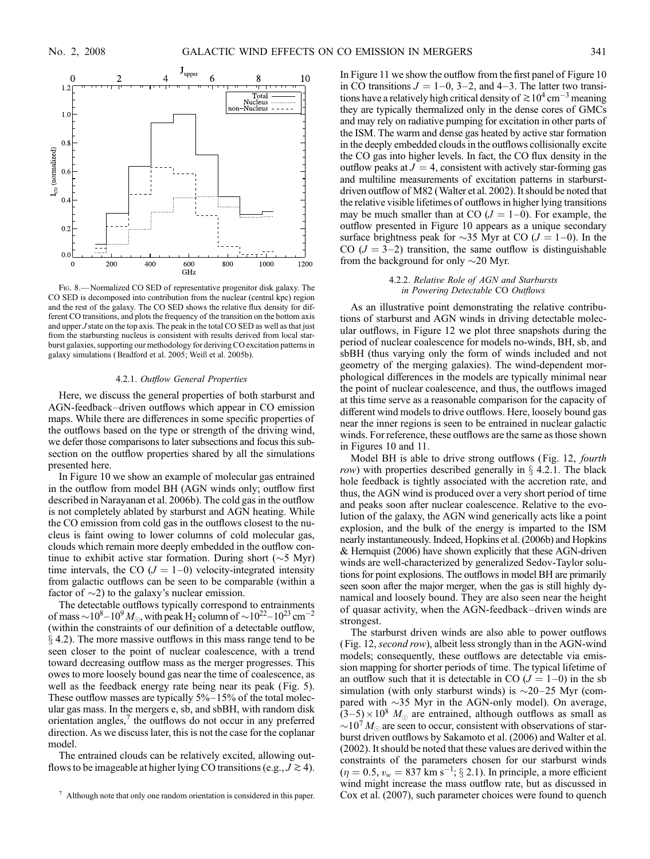

Fig. 8.— Normalized CO SED of representative progenitor disk galaxy. The CO SED is decomposed into contribution from the nuclear (central kpc) region and the rest of the galaxy. The CO SED shows the relative flux density for different CO transitions, and plots the frequency of the transition on the bottom axis and upper  $J$  state on the top axis. The peak in the total CO SED as well as that just from the starbursting nucleus is consistent with results derived from local starburst galaxies, supporting our methodology for deriving CO excitation patterns in galaxy simulations (Bradford et al. 2005; Weiß et al. 2005b).

#### 4.2.1. Outflow General Properties

Here, we discuss the general properties of both starburst and AGN-feedback-driven outflows which appear in CO emission maps. While there are differences in some specific properties of the outflows based on the type or strength of the driving wind, we defer those comparisons to later subsections and focus this subsection on the outflow properties shared by all the simulations presented here.

In Figure 10 we show an example of molecular gas entrained in the outflow from model BH (AGN winds only; outflow first described in Narayanan et al. 2006b). The cold gas in the outflow is not completely ablated by starburst and AGN heating. While the CO emission from cold gas in the outflows closest to the nucleus is faint owing to lower columns of cold molecular gas, clouds which remain more deeply embedded in the outflow continue to exhibit active star formation. During short ( $\sim$ 5 Myr) time intervals, the CO  $(J = 1-0)$  velocity-integrated intensity from galactic outflows can be seen to be comparable (within a factor of  $\sim$ 2) to the galaxy's nuclear emission.

The detectable outflows typically correspond to entrainments of mass  $\sim$  10<sup>8</sup> – 10<sup>9</sup>  $M_{\odot}$ , with peak H<sub>2</sub> column of  $\sim$  10<sup>22</sup> – 10<sup>23</sup> cm<sup>-2</sup> (within the constraints of our definition of a detectable outflow,  $\S$  4.2). The more massive outflows in this mass range tend to be seen closer to the point of nuclear coalescence, with a trend toward decreasing outflow mass as the merger progresses. This owes to more loosely bound gas near the time of coalescence, as well as the feedback energy rate being near its peak (Fig. 5). These outflow masses are typically  $5\% - 15\%$  of the total molecular gas mass. In the mergers e, sb, and sbBH, with random disk orientation angles, $\alpha$  the outflows do not occur in any preferred direction. As we discuss later, this is not the case for the coplanar model.

The entrained clouds can be relatively excited, allowing outflows to be imageable at higher lying CO transitions (e.g.,  $J \gtrsim 4$ ). In Figure 11 we show the outflow from the first panel of Figure 10 in CO transitions  $J = 1-0$ , 3-2, and 4-3. The latter two transitions have a relatively high critical density of  $\gtrsim 10^4$  cm<sup>-3</sup> meaning they are typically thermalized only in the dense cores of GMCs and may rely on radiative pumping for excitation in other parts of the ISM. The warm and dense gas heated by active star formation in the deeply embedded clouds in the outflows collisionally excite the CO gas into higher levels. In fact, the CO flux density in the outflow peaks at  $J = 4$ , consistent with actively star-forming gas and multiline measurements of excitation patterns in starburstdriven outflow of M82 (Walter et al. 2002). It should be noted that the relative visible lifetimes of outflows in higher lying transitions may be much smaller than at CO  $(J = 1-0)$ . For example, the outflow presented in Figure 10 appears as a unique secondary surface brightness peak for  $\sim$ 35 Myr at CO ( $J = 1-0$ ). In the CO ( $J = 3-2$ ) transition, the same outflow is distinguishable from the background for only  $\sim$ 20 Myr.

#### 4.2.2. Relative Role of AGN and Starbursts in Powering Detectable CO Outflows

As an illustrative point demonstrating the relative contributions of starburst and AGN winds in driving detectable molecular outflows, in Figure 12 we plot three snapshots during the period of nuclear coalescence for models no-winds, BH, sb, and sbBH (thus varying only the form of winds included and not geometry of the merging galaxies). The wind-dependent morphological differences in the models are typically minimal near the point of nuclear coalescence, and thus, the outflows imaged at this time serve as a reasonable comparison for the capacity of different wind models to drive outflows. Here, loosely bound gas near the inner regions is seen to be entrained in nuclear galactic winds. For reference, these outflows are the same as those shown in Figures 10 and 11.

Model BH is able to drive strong outflows (Fig. 12, fourth row) with properties described generally in  $\S$  4.2.1. The black hole feedback is tightly associated with the accretion rate, and thus, the AGN wind is produced over a very short period of time and peaks soon after nuclear coalescence. Relative to the evolution of the galaxy, the AGN wind generically acts like a point explosion, and the bulk of the energy is imparted to the ISM nearly instantaneously. Indeed, Hopkins et al. (2006b) and Hopkins & Hernquist (2006) have shown explicitly that these AGN-driven winds are well-characterized by generalized Sedov-Taylor solutions for point explosions. The outflows in model BH are primarily seen soon after the major merger, when the gas is still highly dynamical and loosely bound. They are also seen near the height of quasar activity, when the AGN-feedback-driven winds are strongest.

The starburst driven winds are also able to power outflows (Fig. 12, second row), albeit less strongly than in the AGN-wind models; consequently, these outflows are detectable via emission mapping for shorter periods of time. The typical lifetime of an outflow such that it is detectable in CO  $(J = 1-0)$  in the sb simulation (with only starburst winds) is  $\sim$ 20–25 Myr (compared with  $\sim$ 35 Myr in the AGN-only model). On average,  $(3-5) \times 10^8$   $M_{\odot}$  are entrained, although outflows as small as  $\sim$ 10<sup>7</sup>  $M_{\odot}$  are seen to occur, consistent with observations of starburst driven outflows by Sakamoto et al. (2006) and Walter et al. (2002). It should be noted that these values are derived within the constraints of the parameters chosen for our starburst winds  $(\eta = 0.5, v_w = 837 \text{ km s}^{-1}; \S 2.1)$ . In principle, a more efficient wind might increase the mass outflow rate, but as discussed in Cox et al. (2007), such parameter choices were found to quench

 $<sup>7</sup>$  Although note that only one random orientation is considered in this paper.</sup>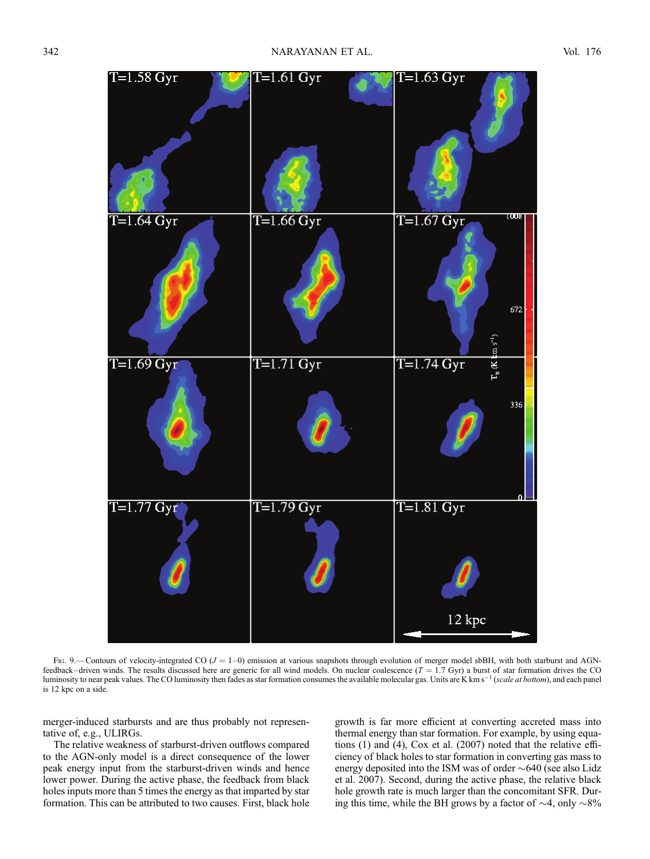

Fig. 9.—Contours of velocity-integrated CO ( $J = 1-0$ ) emission at various snapshots through evolution of merger model sbBH, with both starburst and AGNfeedback-driven winds. The results discussed here are generic for all wind models. On nuclear coalescence ( $T = 1.7$  Gyr) a burst of star formation drives the CO luminosity to near peak values. The CO luminosity then fades as star formation consumes the available molecular gas. Units are K km s<sup>-1</sup> (scale at bottom), and each panel is 12 kpc on a side.

merger-induced starbursts and are thus probably not representative of, e.g., ULIRGs.

The relative weakness of starburst-driven outflows compared to the AGN-only model is a direct consequence of the lower peak energy input from the starburst-driven winds and hence lower power. During the active phase, the feedback from black holes inputs more than 5 times the energy as that imparted by star formation. This can be attributed to two causes. First, black hole

growth is far more efficient at converting accreted mass into thermal energy than star formation. For example, by using equations (1) and (4), Cox et al. (2007) noted that the relative efficiency of black holes to star formation in converting gas mass to energy deposited into the ISM was of order  $\sim 640$  (see also Lidz et al. 2007). Second, during the active phase, the relative black hole growth rate is much larger than the concomitant SFR. During this time, while the BH grows by a factor of  $\sim$ 4, only  $\sim$ 8%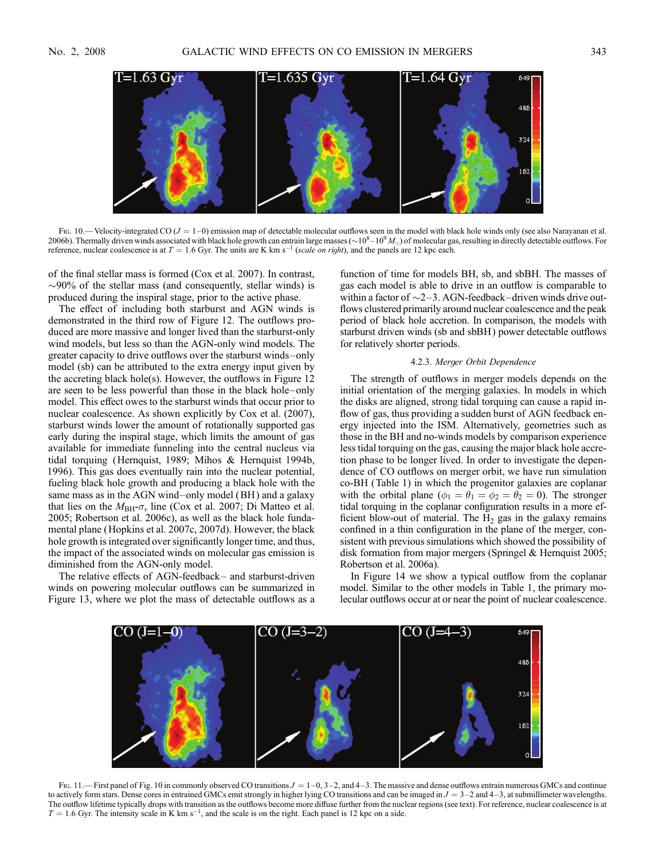

Fig. 10.—Velocity-integrated CO ( $J = 1-0$ ) emission map of detectable molecular outflows seen in the model with black hole winds only (see also Narayanan et al. 2006b). Thermally driven winds associated with black hole growth can entrain large masses ( $\sim 10^8-10^9$  M<sub>O</sub>) of molecular gas, resulting in directly detectable outflows. For reference, nuclear coalescence is at  $T = 1.6$  Gyr. The units are K km s<sup>-1</sup> (scale on right), and the panels are 12 kpc each.

of the final stellar mass is formed (Cox et al. 2007). In contrast,  $\sim$ 90% of the stellar mass (and consequently, stellar winds) is produced during the inspiral stage, prior to the active phase.

The effect of including both starburst and AGN winds is demonstrated in the third row of Figure 12. The outflows produced are more massive and longer lived than the starburst-only wind models, but less so than the AGN-only wind models. The greater capacity to drive outflows over the starburst winds-only model (sb) can be attributed to the extra energy input given by the accreting black hole(s). However, the outflows in Figure 12 are seen to be less powerful than those in the black hole-only model. This effect owes to the starburst winds that occur prior to nuclear coalescence. As shown explicitly by Cox et al. (2007), starburst winds lower the amount of rotationally supported gas early during the inspiral stage, which limits the amount of gas available for immediate funneling into the central nucleus via tidal torquing (Hernquist, 1989; Mihos & Hernquist 1994b, 1996). This gas does eventually rain into the nuclear potential, fueling black hole growth and producing a black hole with the same mass as in the AGN wind-only model (BH) and a galaxy that lies on the  $M_{\text{BH}}-\sigma_v$  line (Cox et al. 2007; Di Matteo et al. 2005; Robertson et al. 2006c), as well as the black hole fundamental plane (Hopkins et al. 2007c, 2007d). However, the black hole growth is integrated over significantly longer time, and thus, the impact of the associated winds on molecular gas emission is diminished from the AGN-only model.

The relative effects of AGN-feedback- and starburst-driven winds on powering molecular outflows can be summarized in Figure 13, where we plot the mass of detectable outflows as a function of time for models BH, sb, and sbBH. The masses of gas each model is able to drive in an outflow is comparable to within a factor of  $\sim$ 2 $-3$ . AGN-feedback-driven winds drive outflows clustered primarily around nuclear coalescence and the peak period of black hole accretion. In comparison, the models with starburst driven winds (sb and sbBH ) power detectable outflows for relatively shorter periods.

### 4.2.3. Merger Orbit Dependence

The strength of outflows in merger models depends on the initial orientation of the merging galaxies. In models in which the disks are aligned, strong tidal torquing can cause a rapid inflow of gas, thus providing a sudden burst of AGN feedback energy injected into the ISM. Alternatively, geometries such as those in the BH and no-winds models by comparison experience less tidal torquing on the gas, causing the major black hole accretion phase to be longer lived. In order to investigate the dependence of CO outflows on merger orbit, we have run simulation co-BH (Table 1) in which the progenitor galaxies are coplanar with the orbital plane ( $\phi_1 = \theta_1 = \phi_2 = \theta_2 = 0$ ). The stronger tidal torquing in the coplanar configuration results in a more efficient blow-out of material. The  $H<sub>2</sub>$  gas in the galaxy remains confined in a thin configuration in the plane of the merger, consistent with previous simulations which showed the possibility of disk formation from major mergers (Springel & Hernquist 2005; Robertson et al. 2006a).

In Figure 14 we show a typical outflow from the coplanar model. Similar to the other models in Table 1, the primary molecular outflows occur at or near the point of nuclear coalescence.



Fig. 11.— First panel of Fig. 10 in commonly observed CO transitions  $J = 1-0$ ,  $3-2$ , and  $4-3$ . The massive and dense outflows entrain numerous GMCs and continue to actively form stars. Dense cores in entrained GMCs emit strongly in higher lying CO transitions and can be imaged in  $J = 3-2$  and  $4-3$ , at submillimeter wavelengths. The outflow lifetime typically drops with transition as the outflows become more diffuse further from the nuclear regions (see text). For reference, nuclear coalescence is at  $T = 1.6$  Gyr. The intensity scale in K km s<sup>-1</sup>, and the scale is on the right. Each panel is 12 kpc on a side.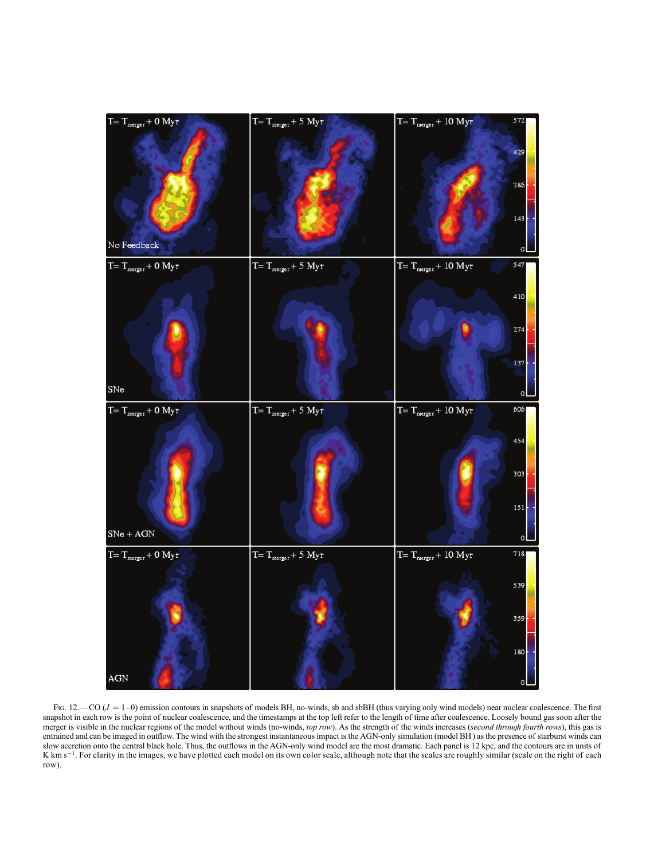

Fig.  $12$ —CO ( $J = 1-0$ ) emission contours in snapshots of models BH, no-winds, sb and sbBH (thus varying only wind models) near nuclear coalescence. The first snapshot in each row is the point of nuclear coalescence, and the timestamps at the top left refer to the length of time after coalescence. Loosely bound gas soon after the merger is visible in the nuclear regions of the model without winds (no-winds, top row). As the strength of the winds increases (second through fourth rows), this gas is entrained and can be imaged in outflow. The wind with the strongest instantaneous impact is the AGN-only simulation (model BH ) as the presence of starburst winds can slow accretion onto the central black hole. Thus, the outflows in the AGN-only wind model are the most dramatic. Each panel is 12 kpc, and the contours are in units of  $K \, \text{km s}^{-1}$ . For clarity in the images, we have plotted each model on its own color scale, although note that the scales are roughly similar (scale on the right of each row).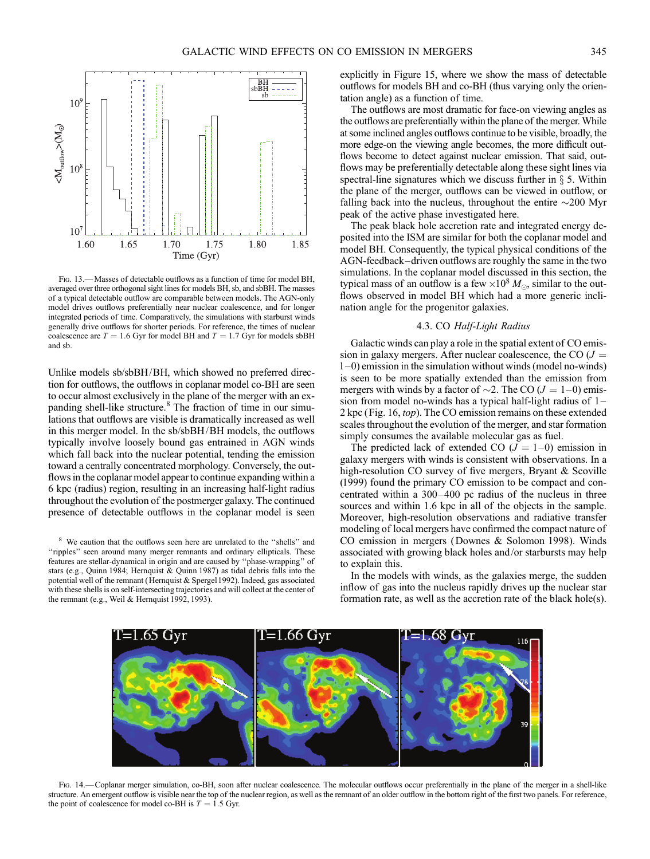

Fig. 13.—Masses of detectable outflows as a function of time for model BH, averaged over three orthogonal sight lines for models BH, sb, and sbBH. The masses of a typical detectable outflow are comparable between models. The AGN-only model drives outflows preferentially near nuclear coalescence, and for longer integrated periods of time. Comparatively, the simulations with starburst winds generally drive outflows for shorter periods. For reference, the times of nuclear coalescence are  $T = 1.6$  Gyr for model BH and  $T = 1.7$  Gyr for models sbBH and sb.

Unlike models sb/sbBH/BH, which showed no preferred direction for outflows, the outflows in coplanar model co-BH are seen to occur almost exclusively in the plane of the merger with an expanding shell-like structure.<sup>8</sup> The fraction of time in our simulations that outflows are visible is dramatically increased as well in this merger model. In the sb/sbBH/BH models, the outflows typically involve loosely bound gas entrained in AGN winds which fall back into the nuclear potential, tending the emission toward a centrally concentrated morphology. Conversely, the outflows in the coplanar model appear to continue expanding within a 6 kpc (radius) region, resulting in an increasing half-light radius throughout the evolution of the postmerger galaxy. The continued presence of detectable outflows in the coplanar model is seen

<sup>8</sup> We caution that the outflows seen here are unrelated to the ''shells'' and "ripples" seen around many merger remnants and ordinary ellipticals. These features are stellar-dynamical in origin and are caused by ''phase-wrapping'' of stars (e.g., Quinn 1984; Hernquist & Quinn 1987) as tidal debris falls into the potential well of the remnant (Hernquist & Spergel 1992). Indeed, gas associated with these shells is on self-intersecting trajectories and will collect at the center of the remnant (e.g., Weil & Hernquist 1992, 1993).

explicitly in Figure 15, where we show the mass of detectable outflows for models BH and co-BH (thus varying only the orientation angle) as a function of time.

The outflows are most dramatic for face-on viewing angles as the outflows are preferentially within the plane of the merger.While at some inclined angles outflows continue to be visible, broadly, the more edge-on the viewing angle becomes, the more difficult outflows become to detect against nuclear emission. That said, outflows may be preferentially detectable along these sight lines via spectral-line signatures which we discuss further in  $\S$  5. Within the plane of the merger, outflows can be viewed in outflow, or falling back into the nucleus, throughout the entire  $\sim$ 200 Myr peak of the active phase investigated here.

The peak black hole accretion rate and integrated energy deposited into the ISM are similar for both the coplanar model and model BH. Consequently, the typical physical conditions of the AGN-feedback-driven outflows are roughly the same in the two simulations. In the coplanar model discussed in this section, the typical mass of an outflow is a few  $\times 10^8\,M_\odot,$  similar to the outflows observed in model BH which had a more generic inclination angle for the progenitor galaxies.

## 4.3. CO Half-Light Radius

Galactic winds can play a role in the spatial extent of CO emission in galaxy mergers. After nuclear coalescence, the CO  $(J =$  $1-0$ ) emission in the simulation without winds (model no-winds) is seen to be more spatially extended than the emission from mergers with winds by a factor of  $\sim$ 2. The CO ( $J = 1-0$ ) emission from model no-winds has a typical half-light radius of  $1-$ 2 kpc (Fig. 16, top). The CO emission remains on these extended scales throughout the evolution of the merger, and star formation simply consumes the available molecular gas as fuel.

The predicted lack of extended CO  $(J = 1-0)$  emission in galaxy mergers with winds is consistent with observations. In a high-resolution CO survey of five mergers, Bryant & Scoville (1999) found the primary CO emission to be compact and concentrated within a  $300-400$  pc radius of the nucleus in three sources and within 1.6 kpc in all of the objects in the sample. Moreover, high-resolution observations and radiative transfer modeling of local mergers have confirmed the compact nature of CO emission in mergers (Downes & Solomon 1998). Winds associated with growing black holes and/or starbursts may help to explain this.

In the models with winds, as the galaxies merge, the sudden inflow of gas into the nucleus rapidly drives up the nuclear star formation rate, as well as the accretion rate of the black hole(s).



Fig. 14.—Coplanar merger simulation, co-BH, soon after nuclear coalescence. The molecular outflows occur preferentially in the plane of the merger in a shell-like structure. An emergent outflow is visible near the top of the nuclear region, as well as the remnant of an older outflow in the bottom right of the first two panels. For reference, the point of coalescence for model co-BH is  $T = 1.5$  Gyr.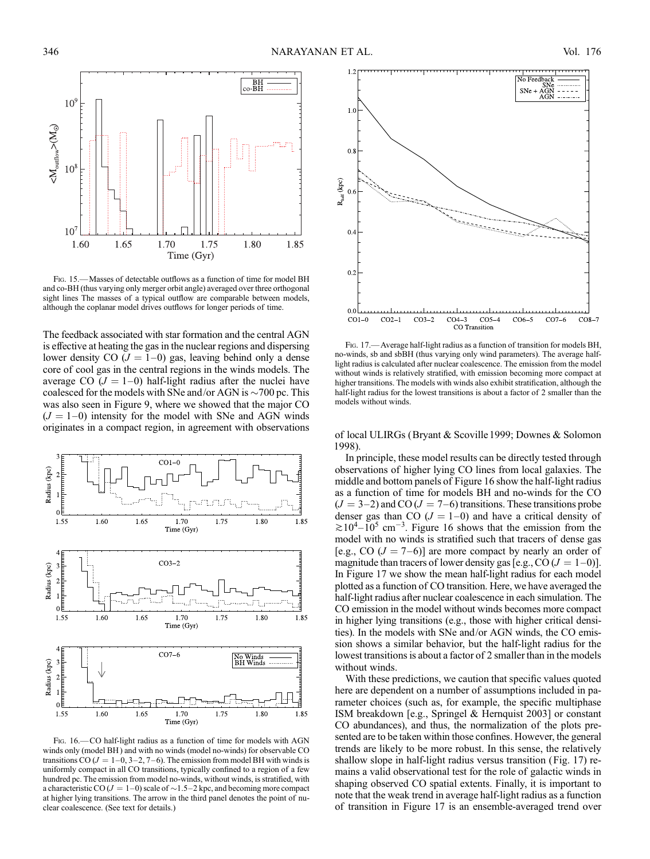

Fig. 15.—Masses of detectable outflows as a function of time for model BH and co-BH (thus varying only merger orbit angle) averaged over three orthogonal sight lines The masses of a typical outflow are comparable between models, although the coplanar model drives outflows for longer periods of time.

The feedback associated with star formation and the central AGN is effective at heating the gas in the nuclear regions and dispersing lower density CO ( $J = 1-0$ ) gas, leaving behind only a dense core of cool gas in the central regions in the winds models. The average CO  $(J = 1-0)$  half-light radius after the nuclei have coalesced for the models with SNe and/or AGN is  $\sim$ 700 pc. This was also seen in Figure 9, where we showed that the major CO  $(J = 1-0)$  intensity for the model with SNe and AGN winds originates in a compact region, in agreement with observations of local ULIRGs (Bryant & Scoville 1999; Downes & Solomon



FIG. 16. - CO half-light radius as a function of time for models with AGN winds only (model BH ) and with no winds (model no-winds) for observable CO transitions CO ( $J = 1-0$ , 3-2, 7-6). The emission from model BH with winds is uniformly compact in all CO transitions, typically confined to a region of a few hundred pc. The emission from model no-winds, without winds, is stratified, with a characteristic CO ( $J = 1-0$ ) scale of  $\sim$ 1.5-2 kpc, and becoming more compact at higher lying transitions. The arrow in the third panel denotes the point of nuclear coalescence. (See text for details.)



Fig. 17. - Average half-light radius as a function of transition for models BH, no-winds, sb and sbBH (thus varying only wind parameters). The average halflight radius is calculated after nuclear coalescence. The emission from the model without winds is relatively stratified, with emission becoming more compact at higher transitions. The models with winds also exhibit stratification, although the half-light radius for the lowest transitions is about a factor of 2 smaller than the models without winds.

1998).

In principle, these model results can be directly tested through observations of higher lying CO lines from local galaxies. The middle and bottom panels of Figure 16 show the half-light radius as a function of time for models BH and no-winds for the CO  $(J = 3-2)$  and CO  $(J = 7-6)$  transitions. These transitions probe denser gas than CO  $(J = 1-0)$  and have a critical density of  $\approx 10^4 - 10^5$  cm<sup>-3</sup>. Figure 16 shows that the emission from the model with no winds is stratified such that tracers of dense gas [e.g., CO  $(J = 7-6)$ ] are more compact by nearly an order of magnitude than tracers of lower density gas [e.g.,  $CO (J = 1-0)$ ]. In Figure 17 we show the mean half-light radius for each model plotted as a function of CO transition. Here, we have averaged the half-light radius after nuclear coalescence in each simulation. The CO emission in the model without winds becomes more compact in higher lying transitions (e.g., those with higher critical densities). In the models with SNe and/or AGN winds, the CO emission shows a similar behavior, but the half-light radius for the lowest transitions is about a factor of 2 smaller than in the models without winds.

With these predictions, we caution that specific values quoted here are dependent on a number of assumptions included in parameter choices (such as, for example, the specific multiphase ISM breakdown [e.g., Springel & Hernquist 2003] or constant CO abundances), and thus, the normalization of the plots presented are to be taken within those confines. However, the general trends are likely to be more robust. In this sense, the relatively shallow slope in half-light radius versus transition (Fig. 17) remains a valid observational test for the role of galactic winds in shaping observed CO spatial extents. Finally, it is important to note that the weak trend in average half-light radius as a function of transition in Figure 17 is an ensemble-averaged trend over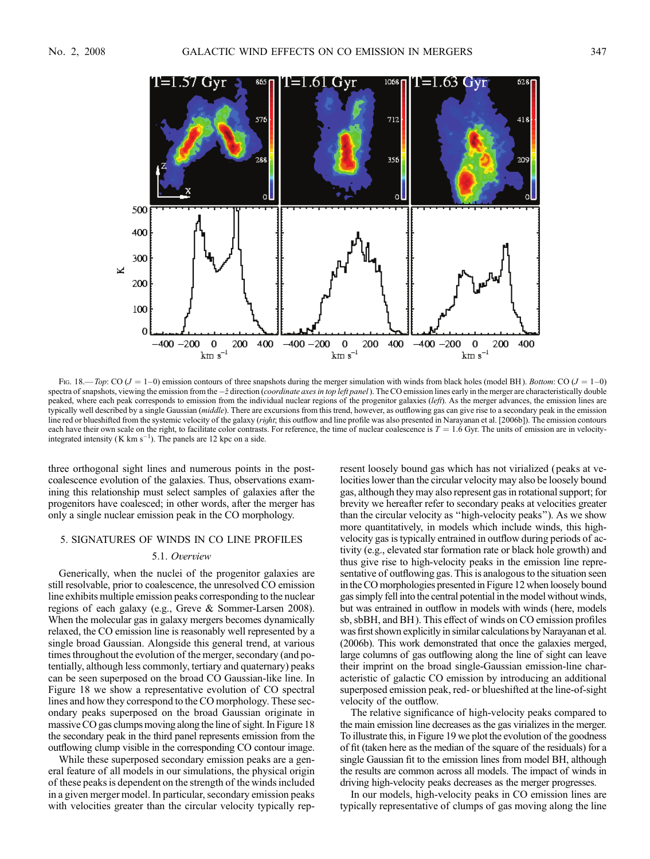

Fig. 18.—Top: CO ( $J = 1-0$ ) emission contours of three snapshots during the merger simulation with winds from black holes (model BH). Bottom: CO ( $J = 1-0$ ) spectra of snapshots, viewing the emission from the  $-\hat{z}$  direction (coordinate axes in top left panel). The CO emission lines early in the merger are characteristically double peaked, where each peak corresponds to emission from the individual nuclear regions of the progenitor galaxies (left). As the merger advances, the emission lines are typically well described by a single Gaussian (middle). There are excursions from this trend, however, as outflowing gas can give rise to a secondary peak in the emission line red or blueshifted from the systemic velocity of the galaxy (right; this outflow and line profile was also presented in Narayanan et al. [2006b]). The emission contours each have their own scale on the right, to facilitate color contrasts. For reference, the time of nuclear coalescence is  $T = 1.6$  Gyr. The units of emission are in velocityintegrated intensity (K km  $s^{-1}$ ). The panels are 12 kpc on a side.

three orthogonal sight lines and numerous points in the postcoalescence evolution of the galaxies. Thus, observations examining this relationship must select samples of galaxies after the progenitors have coalesced; in other words, after the merger has only a single nuclear emission peak in the CO morphology.

## 5. SIGNATURES OF WINDS IN CO LINE PROFILES

## 5.1. Overview

Generically, when the nuclei of the progenitor galaxies are still resolvable, prior to coalescence, the unresolved CO emission line exhibits multiple emission peaks corresponding to the nuclear regions of each galaxy (e.g., Greve & Sommer-Larsen 2008). When the molecular gas in galaxy mergers becomes dynamically relaxed, the CO emission line is reasonably well represented by a single broad Gaussian. Alongside this general trend, at various times throughout the evolution of the merger, secondary (and potentially, although less commonly, tertiary and quaternary) peaks can be seen superposed on the broad CO Gaussian-like line. In Figure 18 we show a representative evolution of CO spectral lines and how they correspond to the CO morphology. These secondary peaks superposed on the broad Gaussian originate in massive CO gas clumps moving along the line of sight. In Figure 18 the secondary peak in the third panel represents emission from the outflowing clump visible in the corresponding CO contour image.

While these superposed secondary emission peaks are a general feature of all models in our simulations, the physical origin of these peaks is dependent on the strength of the winds included in a given merger model. In particular, secondary emission peaks with velocities greater than the circular velocity typically represent loosely bound gas which has not virialized (peaks at velocities lower than the circular velocity may also be loosely bound gas, although they may also represent gas in rotational support; for brevity we hereafter refer to secondary peaks at velocities greater than the circular velocity as ''high-velocity peaks''). As we show more quantitatively, in models which include winds, this highvelocity gas is typically entrained in outflow during periods of activity (e.g., elevated star formation rate or black hole growth) and thus give rise to high-velocity peaks in the emission line representative of outflowing gas. This is analogous to the situation seen in the CO morphologies presented in Figure 12 when loosely bound gas simply fell into the central potential in the model without winds, but was entrained in outflow in models with winds (here, models sb, sbBH, and BH ). This effect of winds on CO emission profiles was first shown explicitly in similar calculations by Narayanan et al. (2006b). This work demonstrated that once the galaxies merged, large columns of gas outflowing along the line of sight can leave their imprint on the broad single-Gaussian emission-line characteristic of galactic CO emission by introducing an additional superposed emission peak, red- or blueshifted at the line-of-sight velocity of the outflow.

The relative significance of high-velocity peaks compared to the main emission line decreases as the gas virializes in the merger. To illustrate this, in Figure 19 we plot the evolution of the goodness of fit (taken here as the median of the square of the residuals) for a single Gaussian fit to the emission lines from model BH, although the results are common across all models. The impact of winds in driving high-velocity peaks decreases as the merger progresses.

In our models, high-velocity peaks in CO emission lines are typically representative of clumps of gas moving along the line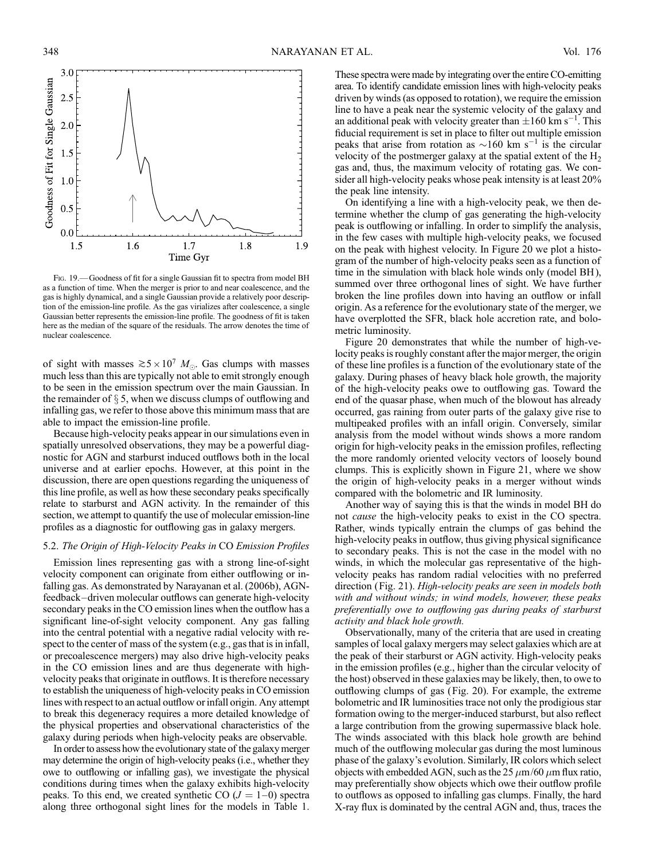

Fig. 19.—Goodness of fit for a single Gaussian fit to spectra from model BH as a function of time. When the merger is prior to and near coalescence, and the gas is highly dynamical, and a single Gaussian provide a relatively poor description of the emission-line profile. As the gas virializes after coalescence, a single Gaussian better represents the emission-line profile. The goodness of fit is taken here as the median of the square of the residuals. The arrow denotes the time of nuclear coalescence.

of sight with masses  $\approx 5 \times 10^7$  M<sub>o</sub>. Gas clumps with masses much less than this are typically not able to emit strongly enough to be seen in the emission spectrum over the main Gaussian. In the remainder of  $\S$  5, when we discuss clumps of outflowing and infalling gas, we refer to those above this minimum mass that are able to impact the emission-line profile.

Because high-velocity peaks appear in our simulations even in spatially unresolved observations, they may be a powerful diagnostic for AGN and starburst induced outflows both in the local universe and at earlier epochs. However, at this point in the discussion, there are open questions regarding the uniqueness of this line profile, as well as how these secondary peaks specifically relate to starburst and AGN activity. In the remainder of this section, we attempt to quantify the use of molecular emission-line profiles as a diagnostic for outflowing gas in galaxy mergers.

#### 5.2. The Origin of High-Velocity Peaks in CO Emission Profiles

Emission lines representing gas with a strong line-of-sight velocity component can originate from either outflowing or infalling gas. As demonstrated by Narayanan et al. (2006b), AGNfeedback—driven molecular outflows can generate high-velocity secondary peaks in the CO emission lines when the outflow has a significant line-of-sight velocity component. Any gas falling into the central potential with a negative radial velocity with respect to the center of mass of the system (e.g., gas that is in infall, or precoalescence mergers) may also drive high-velocity peaks in the CO emission lines and are thus degenerate with highvelocity peaks that originate in outflows. It is therefore necessary to establish the uniqueness of high-velocity peaks in CO emission lines with respect to an actual outflow or infall origin. Any attempt to break this degeneracy requires a more detailed knowledge of the physical properties and observational characteristics of the galaxy during periods when high-velocity peaks are observable.

In order to assess how the evolutionary state of the galaxy merger may determine the origin of high-velocity peaks (i.e., whether they owe to outflowing or infalling gas), we investigate the physical conditions during times when the galaxy exhibits high-velocity peaks. To this end, we created synthetic CO  $(J = 1-0)$  spectra along three orthogonal sight lines for the models in Table 1. These spectra were made by integrating over the entire CO-emitting area. To identify candidate emission lines with high-velocity peaks driven by winds (as opposed to rotation), we require the emission line to have a peak near the systemic velocity of the galaxy and an additional peak with velocity greater than  $\pm 160$  km s<sup>-1</sup>. This fiducial requirement is set in place to filter out multiple emission peaks that arise from rotation as  $\sim 160$  km s<sup>-1</sup> is the circular velocity of the postmerger galaxy at the spatial extent of the H<sub>2</sub> gas and, thus, the maximum velocity of rotating gas. We consider all high-velocity peaks whose peak intensity is at least 20% the peak line intensity.

On identifying a line with a high-velocity peak, we then determine whether the clump of gas generating the high-velocity peak is outflowing or infalling. In order to simplify the analysis, in the few cases with multiple high-velocity peaks, we focused on the peak with highest velocity. In Figure 20 we plot a histogram of the number of high-velocity peaks seen as a function of time in the simulation with black hole winds only (model BH ), summed over three orthogonal lines of sight. We have further broken the line profiles down into having an outflow or infall origin. As a reference for the evolutionary state of the merger, we have overplotted the SFR, black hole accretion rate, and bolometric luminosity.

Figure 20 demonstrates that while the number of high-velocity peaks is roughly constant after the major merger, the origin of these line profiles is a function of the evolutionary state of the galaxy. During phases of heavy black hole growth, the majority of the high-velocity peaks owe to outflowing gas. Toward the end of the quasar phase, when much of the blowout has already occurred, gas raining from outer parts of the galaxy give rise to multipeaked profiles with an infall origin. Conversely, similar analysis from the model without winds shows a more random origin for high-velocity peaks in the emission profiles, reflecting the more randomly oriented velocity vectors of loosely bound clumps. This is explicitly shown in Figure 21, where we show the origin of high-velocity peaks in a merger without winds compared with the bolometric and IR luminosity.

Another way of saying this is that the winds in model BH do not cause the high-velocity peaks to exist in the CO spectra. Rather, winds typically entrain the clumps of gas behind the high-velocity peaks in outflow, thus giving physical significance to secondary peaks. This is not the case in the model with no winds, in which the molecular gas representative of the highvelocity peaks has random radial velocities with no preferred direction (Fig. 21). High-velocity peaks are seen in models both with and without winds; in wind models, however, these peaks preferentially owe to outflowing gas during peaks of starburst activity and black hole growth.

Observationally, many of the criteria that are used in creating samples of local galaxy mergers may select galaxies which are at the peak of their starburst or AGN activity. High-velocity peaks in the emission profiles (e.g., higher than the circular velocity of the host) observed in these galaxies may be likely, then, to owe to outflowing clumps of gas (Fig. 20). For example, the extreme bolometric and IR luminosities trace not only the prodigious star formation owing to the merger-induced starburst, but also reflect a large contribution from the growing supermassive black hole. The winds associated with this black hole growth are behind much of the outflowing molecular gas during the most luminous phase of the galaxy's evolution. Similarly, IR colors which select objects with embedded AGN, such as the 25  $\mu$ m/60  $\mu$ m flux ratio, may preferentially show objects which owe their outflow profile to outflows as opposed to infalling gas clumps. Finally, the hard X-ray flux is dominated by the central AGN and, thus, traces the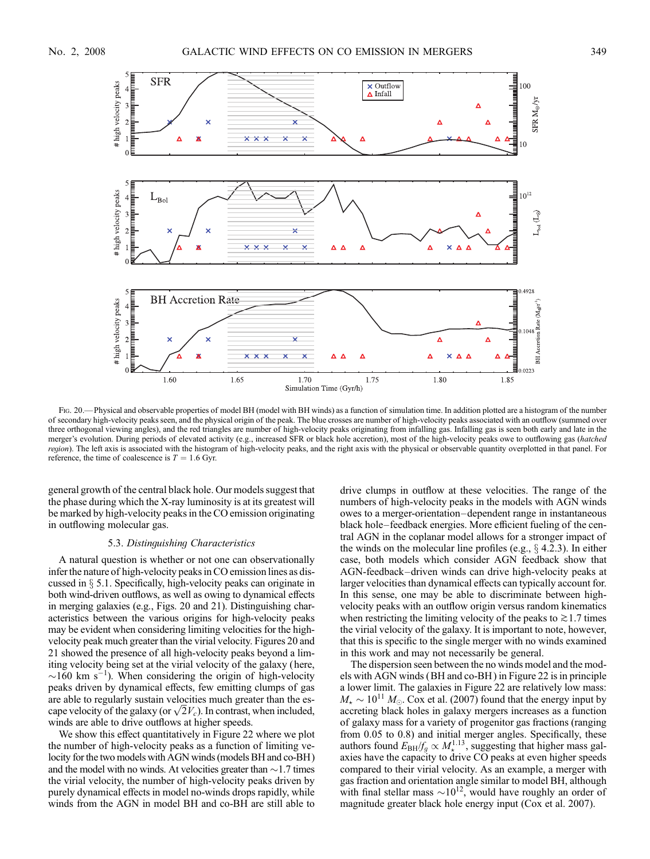



Fig. 20.— Physical and observable properties of model BH (model with BH winds) as a function of simulation time. In addition plotted are a histogram of the number of secondary high-velocity peaks seen, and the physical origin of the peak. The blue crosses are number of high-velocity peaks associated with an outflow (summed over three orthogonal viewing angles), and the red triangles are number of high-velocity peaks originating from infalling gas. Infalling gas is seen both early and late in the merger's evolution. During periods of elevated activity (e.g., increased SFR or black hole accretion), most of the high-velocity peaks owe to outflowing gas (hatched region). The left axis is associated with the histogram of high-velocity peaks, and the right axis with the physical or observable quantity overplotted in that panel. For reference, the time of coalescence is  $T = 1.6$  Gyr.

general growth of the central black hole. Our models suggest that the phase during which the X-ray luminosity is at its greatest will be marked by high-velocity peaks in the CO emission originating in outflowing molecular gas.

## 5.3. Distinguishing Characteristics

A natural question is whether or not one can observationally infer the nature of high-velocity peaks in CO emission lines as discussed in  $\S$  5.1. Specifically, high-velocity peaks can originate in both wind-driven outflows, as well as owing to dynamical effects in merging galaxies (e.g., Figs. 20 and 21). Distinguishing characteristics between the various origins for high-velocity peaks may be evident when considering limiting velocities for the highvelocity peak much greater than the virial velocity. Figures 20 and 21 showed the presence of all high-velocity peaks beyond a limiting velocity being set at the virial velocity of the galaxy (here,  $\sim$ 160 km s<sup>-1</sup>). When considering the origin of high-velocity peaks driven by dynamical effects, few emitting clumps of gas are able to regularly sustain velocities much greater than the esare able to regularly sustain velocities much greater than the es-<br>cape velocity of the galaxy (or  $\sqrt{2}V_c$ ). In contrast, when included, winds are able to drive outflows at higher speeds.

We show this effect quantitatively in Figure 22 where we plot the number of high-velocity peaks as a function of limiting velocity for the two models with AGN winds (models BH and co-BH) and the model with no winds. At velocities greater than  $\sim$  1.7 times the virial velocity, the number of high-velocity peaks driven by purely dynamical effects in model no-winds drops rapidly, while winds from the AGN in model BH and co-BH are still able to drive clumps in outflow at these velocities. The range of the numbers of high-velocity peaks in the models with AGN winds owes to a merger-orientation-dependent range in instantaneous black hole–feedback energies. More efficient fueling of the central AGN in the coplanar model allows for a stronger impact of the winds on the molecular line profiles (e.g.,  $\S$  4.2.3). In either case, both models which consider AGN feedback show that AGN-feedback-driven winds can drive high-velocity peaks at larger velocities than dynamical effects can typically account for. In this sense, one may be able to discriminate between highvelocity peaks with an outflow origin versus random kinematics when restricting the limiting velocity of the peaks to  $\gtrsim$  1.7 times the virial velocity of the galaxy. It is important to note, however, that this is specific to the single merger with no winds examined in this work and may not necessarily be general.

The dispersion seen between the no winds model and the models with AGN winds (BH and co-BH ) in Figure 22 is in principle a lower limit. The galaxies in Figure 22 are relatively low mass:  $M_{\star} \sim 10^{11} M_{\odot}$ . Cox et al. (2007) found that the energy input by accreting black holes in galaxy mergers increases as a function of galaxy mass for a variety of progenitor gas fractions (ranging from 0.05 to 0.8) and initial merger angles. Specifically, these authors found  $E_{BH}/f_g \propto M_{\star}^{1.13}$ , suggesting that higher mass galaxies have the capacity to drive CO peaks at even higher speeds compared to their virial velocity. As an example, a merger with gas fraction and orientation angle similar to model BH, although with final stellar mass  $\sim 10^{12}$ , would have roughly an order of magnitude greater black hole energy input (Cox et al. 2007).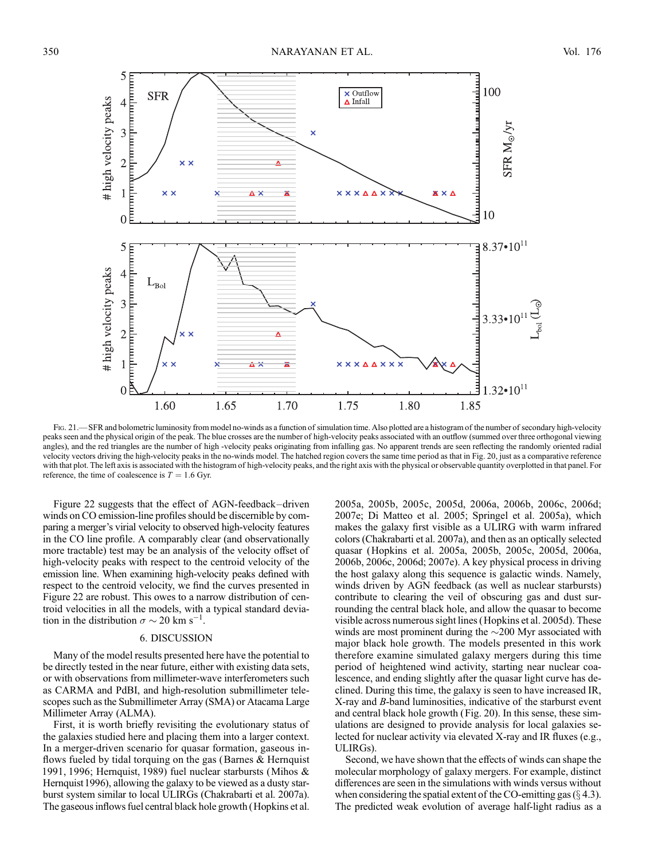

Fig. 21.— SFR and bolometric luminosity from model no-winds as a function of simulation time. Also plotted are a histogram of the number of secondary high-velocity peaks seen and the physical origin of the peak. The blue crosses are the number of high-velocity peaks associated with an outflow (summed over three orthogonal viewing angles), and the red triangles are the number of high -velocity peaks originating from infalling gas. No apparent trends are seen reflecting the randomly oriented radial velocity vectors driving the high-velocity peaks in the no-winds model. The hatched region covers the same time period as that in Fig. 20, just as a comparative reference with that plot. The left axis is associated with the histogram of high-velocity peaks, and the right axis with the physical or observable quantity overplotted in that panel. For reference, the time of coalescence is  $T = 1.6$  Gyr.

Figure 22 suggests that the effect of AGN-feedback-driven winds on CO emission-line profiles should be discernible by comparing a merger's virial velocity to observed high-velocity features in the CO line profile. A comparably clear (and observationally more tractable) test may be an analysis of the velocity offset of high-velocity peaks with respect to the centroid velocity of the emission line. When examining high-velocity peaks defined with respect to the centroid velocity, we find the curves presented in Figure 22 are robust. This owes to a narrow distribution of centroid velocities in all the models, with a typical standard deviation in the distribution  $\sigma \sim 20$  km s<sup>-1</sup>.

## 6. DISCUSSION

Many of the model results presented here have the potential to be directly tested in the near future, either with existing data sets, or with observations from millimeter-wave interferometers such as CARMA and PdBI, and high-resolution submillimeter telescopes such as the Submillimeter Array (SMA) or Atacama Large Millimeter Array (ALMA).

First, it is worth briefly revisiting the evolutionary status of the galaxies studied here and placing them into a larger context. In a merger-driven scenario for quasar formation, gaseous inflows fueled by tidal torquing on the gas (Barnes & Hernquist 1991, 1996; Hernquist, 1989) fuel nuclear starbursts (Mihos & Hernquist 1996), allowing the galaxy to be viewed as a dusty starburst system similar to local ULIRGs (Chakrabarti et al. 2007a). The gaseous inflows fuel central black hole growth (Hopkins et al.

2005a, 2005b, 2005c, 2005d, 2006a, 2006b, 2006c, 2006d; 2007e; Di Matteo et al. 2005; Springel et al. 2005a), which makes the galaxy first visible as a ULIRG with warm infrared colors (Chakrabarti et al. 2007a), and then as an optically selected quasar (Hopkins et al. 2005a, 2005b, 2005c, 2005d, 2006a, 2006b, 2006c, 2006d; 2007e). A key physical process in driving the host galaxy along this sequence is galactic winds. Namely, winds driven by AGN feedback (as well as nuclear starbursts) contribute to clearing the veil of obscuring gas and dust surrounding the central black hole, and allow the quasar to become visible across numerous sight lines (Hopkins et al. 2005d). These winds are most prominent during the  $\sim$ 200 Myr associated with major black hole growth. The models presented in this work therefore examine simulated galaxy mergers during this time period of heightened wind activity, starting near nuclear coalescence, and ending slightly after the quasar light curve has declined. During this time, the galaxy is seen to have increased IR, X-ray and B-band luminosities, indicative of the starburst event and central black hole growth (Fig. 20). In this sense, these simulations are designed to provide analysis for local galaxies selected for nuclear activity via elevated X-ray and IR fluxes (e.g., ULIRGs).

Second, we have shown that the effects of winds can shape the molecular morphology of galaxy mergers. For example, distinct differences are seen in the simulations with winds versus without when considering the spatial extent of the CO-emitting gas  $(\S 4.3)$ . The predicted weak evolution of average half-light radius as a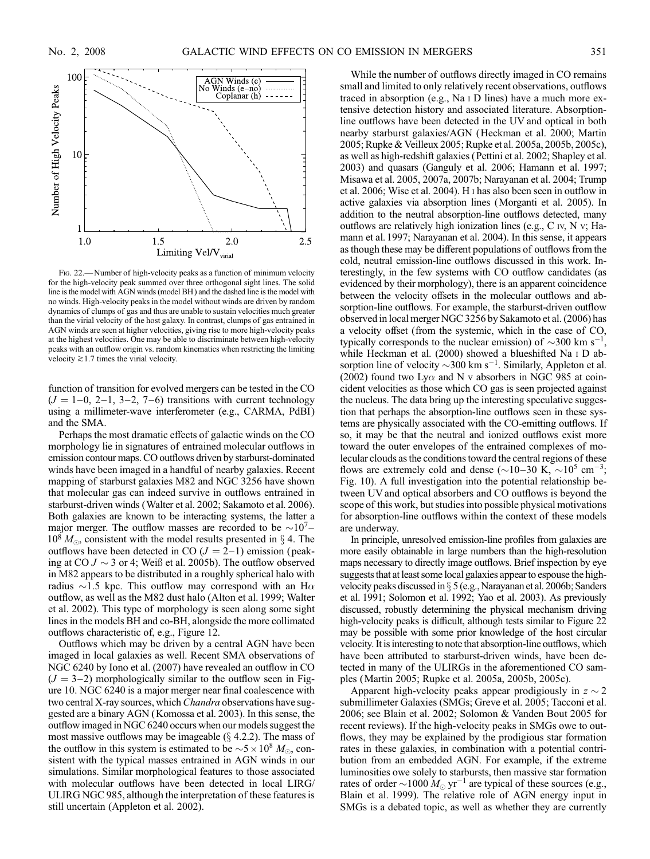

Fig. 22.—Number of high-velocity peaks as a function of minimum velocity for the high-velocity peak summed over three orthogonal sight lines. The solid line is the model with AGN winds (model BH ) and the dashed line is the model with no winds. High-velocity peaks in the model without winds are driven by random dynamics of clumps of gas and thus are unable to sustain velocities much greater than the virial velocity of the host galaxy. In contrast, clumps of gas entrained in AGN winds are seen at higher velocities, giving rise to more high-velocity peaks at the highest velocities. One may be able to discriminate between high-velocity peaks with an outflow origin vs. random kinematics when restricting the limiting velocity  $\ge$  1.7 times the virial velocity.

function of transition for evolved mergers can be tested in the CO  $(J = 1-0, 2-1, 3-2, 7-6)$  transitions with current technology using a millimeter-wave interferometer (e.g., CARMA, PdBI ) and the SMA.

Perhaps the most dramatic effects of galactic winds on the CO morphology lie in signatures of entrained molecular outflows in emission contour maps. CO outflows driven by starburst-dominated winds have been imaged in a handful of nearby galaxies. Recent mapping of starburst galaxies M82 and NGC 3256 have shown that molecular gas can indeed survive in outflows entrained in starburst-driven winds (Walter et al. 2002; Sakamoto et al. 2006). Both galaxies are known to be interacting systems, the latter a major merger. The outflow masses are recorded to be  $\sim 10^{7}$ - $10^8$   $M_{\odot}$ , consistent with the model results presented in § 4. The outflows have been detected in CO  $(J = 2-1)$  emission (peaking at CO  $J \sim 3$  or 4; Weiß et al. 2005b). The outflow observed in M82 appears to be distributed in a roughly spherical halo with radius  $\sim$ 1.5 kpc. This outflow may correspond with an H $\alpha$ outflow, as well as the M82 dust halo (Alton et al. 1999; Walter et al. 2002). This type of morphology is seen along some sight lines in the models BH and co-BH, alongside the more collimated outflows characteristic of, e.g., Figure 12.

Outflows which may be driven by a central AGN have been imaged in local galaxies as well. Recent SMA observations of NGC 6240 by Iono et al. (2007) have revealed an outflow in CO  $(J = 3-2)$  morphologically similar to the outflow seen in Figure 10. NGC 6240 is a major merger near final coalescence with two central X-ray sources, which Chandra observations have suggested are a binary AGN (Komossa et al. 2003). In this sense, the outflow imaged in NGC 6240 occurs when our models suggest the most massive outflows may be imageable  $(\S$  4.2.2). The mass of the outflow in this system is estimated to be  $\sim 5 \times 10^8 M_{\odot}$ , consistent with the typical masses entrained in AGN winds in our simulations. Similar morphological features to those associated with molecular outflows have been detected in local LIRG/ ULIRG NGC 985, although the interpretation of these features is still uncertain (Appleton et al. 2002).

While the number of outflows directly imaged in CO remains small and limited to only relatively recent observations, outflows traced in absorption (e.g., Na i D lines) have a much more extensive detection history and associated literature. Absorptionline outflows have been detected in the UV and optical in both nearby starburst galaxies/AGN (Heckman et al. 2000; Martin 2005; Rupke & Veilleux 2005; Rupke et al. 2005a, 2005b, 2005c), as well as high-redshift galaxies (Pettini et al. 2002; Shapley et al. 2003) and quasars (Ganguly et al. 2006; Hamann et al. 1997; Misawa et al. 2005, 2007a, 2007b; Narayanan et al. 2004; Trump et al. 2006; Wise et al. 2004). H i has also been seen in outflow in active galaxies via absorption lines (Morganti et al. 2005). In addition to the neutral absorption-line outflows detected, many outflows are relatively high ionization lines (e.g., C iv, N v; Hamann et al. 1997; Narayanan et al. 2004). In this sense, it appears as though these may be different populations of outflows from the cold, neutral emission-line outflows discussed in this work. Interestingly, in the few systems with CO outflow candidates (as evidenced by their morphology), there is an apparent coincidence between the velocity offsets in the molecular outflows and absorption-line outflows. For example, the starburst-driven outflow observed in local merger NGC 3256 by Sakamoto et al. (2006) has a velocity offset (from the systemic, which in the case of CO, typically corresponds to the nuclear emission) of  $\sim$ 300 km s<sup>-1</sup>, while Heckman et al. (2000) showed a blueshifted Na i D absorption line of velocity  $\sim$ 300 km s<sup>-1</sup>. Similarly, Appleton et al. (2002) found two Ly $\alpha$  and N v absorbers in NGC 985 at coincident velocities as those which CO gas is seen projected against the nucleus. The data bring up the interesting speculative suggestion that perhaps the absorption-line outflows seen in these systems are physically associated with the CO-emitting outflows. If so, it may be that the neutral and ionized outflows exist more toward the outer envelopes of the entrained complexes of molecular clouds as the conditions toward the central regions of these flows are extremely cold and dense ( $\sim$ 10-30 K,  $\sim$ 10<sup>5</sup> cm<sup>-3</sup>; Fig. 10). A full investigation into the potential relationship between UV and optical absorbers and CO outflows is beyond the scope of this work, but studies into possible physical motivations for absorption-line outflows within the context of these models are underway.

In principle, unresolved emission-line profiles from galaxies are more easily obtainable in large numbers than the high-resolution maps necessary to directly image outflows. Brief inspection by eye suggests that at least some local galaxies appear to espouse the highvelocity peaks discussed in  $\S 5$  (e.g., Narayanan et al. 2006b; Sanders et al. 1991; Solomon et al. 1992; Yao et al. 2003). As previously discussed, robustly determining the physical mechanism driving high-velocity peaks is difficult, although tests similar to Figure 22 may be possible with some prior knowledge of the host circular velocity. It is interesting to note that absorption-line outflows, which have been attributed to starburst-driven winds, have been detected in many of the ULIRGs in the aforementioned CO samples (Martin 2005; Rupke et al. 2005a, 2005b, 2005c).

Apparent high-velocity peaks appear prodigiously in  $z \sim 2$ submillimeter Galaxies (SMGs; Greve et al. 2005; Tacconi et al. 2006; see Blain et al. 2002; Solomon & Vanden Bout 2005 for recent reviews). If the high-velocity peaks in SMGs owe to outflows, they may be explained by the prodigious star formation rates in these galaxies, in combination with a potential contribution from an embedded AGN. For example, if the extreme luminosities owe solely to starbursts, then massive star formation rates of order  $\sim$ 1000  $M_{\odot}$  yr<sup>-1</sup> are typical of these sources (e.g., Blain et al. 1999). The relative role of AGN energy input in SMGs is a debated topic, as well as whether they are currently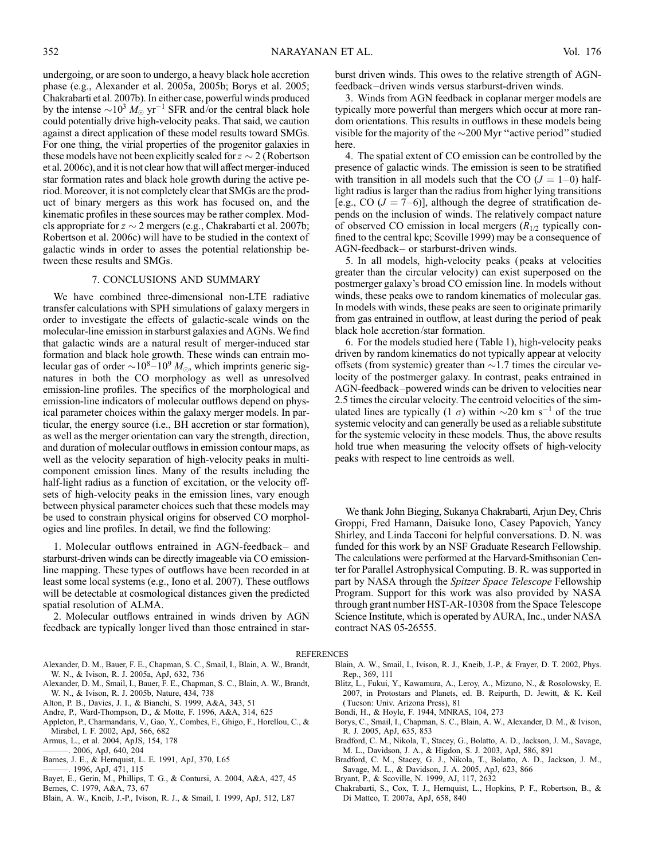undergoing, or are soon to undergo, a heavy black hole accretion phase (e.g., Alexander et al. 2005a, 2005b; Borys et al. 2005; Chakrabarti et al. 2007b). In either case, powerful winds produced by the intense  $\sim 10^3 M_{\odot}$  yr<sup>-1</sup> SFR and/or the central black hole could potentially drive high-velocity peaks. That said, we caution against a direct application of these model results toward SMGs. For one thing, the virial properties of the progenitor galaxies in these models have not been explicitly scaled for  $z \sim 2$  (Robertson et al. 2006c), and it is not clear how that will affect merger-induced star formation rates and black hole growth during the active period. Moreover, it is not completely clear that SMGs are the product of binary mergers as this work has focused on, and the kinematic profiles in these sources may be rather complex. Models appropriate for  $z \sim 2$  mergers (e.g., Chakrabarti et al. 2007b; Robertson et al. 2006c) will have to be studied in the context of galactic winds in order to asses the potential relationship between these results and SMGs.

## 7. CONCLUSIONS AND SUMMARY

We have combined three-dimensional non-LTE radiative transfer calculations with SPH simulations of galaxy mergers in order to investigate the effects of galactic-scale winds on the molecular-line emission in starburst galaxies and AGNs. We find that galactic winds are a natural result of merger-induced star formation and black hole growth. These winds can entrain molecular gas of order  $\sim 10^8 - 10^9 M_{\odot}$ , which imprints generic signatures in both the CO morphology as well as unresolved emission-line profiles. The specifics of the morphological and emission-line indicators of molecular outflows depend on physical parameter choices within the galaxy merger models. In particular, the energy source (i.e., BH accretion or star formation), as well as the merger orientation can vary the strength, direction, and duration of molecular outflows in emission contour maps, as well as the velocity separation of high-velocity peaks in multicomponent emission lines. Many of the results including the half-light radius as a function of excitation, or the velocity offsets of high-velocity peaks in the emission lines, vary enough between physical parameter choices such that these models may be used to constrain physical origins for observed CO morphologies and line profiles. In detail, we find the following:

1. Molecular outflows entrained in AGN-feedback- and starburst-driven winds can be directly imageable via CO emissionline mapping. These types of outflows have been recorded in at least some local systems (e.g., Iono et al. 2007). These outflows will be detectable at cosmological distances given the predicted spatial resolution of ALMA.

2. Molecular outflows entrained in winds driven by AGN feedback are typically longer lived than those entrained in starburst driven winds. This owes to the relative strength of AGNfeedback-driven winds versus starburst-driven winds.

3. Winds from AGN feedback in coplanar merger models are typically more powerful than mergers which occur at more random orientations. This results in outflows in these models being visible for the majority of the  $\sim$ 200 Myr "active period" studied here.

4. The spatial extent of CO emission can be controlled by the presence of galactic winds. The emission is seen to be stratified with transition in all models such that the CO  $(J = 1-0)$  halflight radius is larger than the radius from higher lying transitions [e.g., CO ( $J = 7-6$ )], although the degree of stratification depends on the inclusion of winds. The relatively compact nature of observed CO emission in local mergers  $(R_{1/2}$  typically confined to the central kpc; Scoville 1999) may be a consequence of AGN-feedback- or starburst-driven winds.

5. In all models, high-velocity peaks ( peaks at velocities greater than the circular velocity) can exist superposed on the postmerger galaxy's broad CO emission line. In models without winds, these peaks owe to random kinematics of molecular gas. In models with winds, these peaks are seen to originate primarily from gas entrained in outflow, at least during the period of peak black hole accretion/star formation.

6. For the models studied here (Table 1), high-velocity peaks driven by random kinematics do not typically appear at velocity offsets (from systemic) greater than  $\sim$  1.7 times the circular velocity of the postmerger galaxy. In contrast, peaks entrained in AGN-feedback-powered winds can be driven to velocities near 2.5 times the circular velocity. The centroid velocities of the simulated lines are typically (1  $\sigma$ ) within  $\sim$ 20 km s<sup>-1</sup> of the true systemic velocity and can generally be used as a reliable substitute for the systemic velocity in these models. Thus, the above results hold true when measuring the velocity offsets of high-velocity peaks with respect to line centroids as well.

We thank John Bieging, Sukanya Chakrabarti, Arjun Dey, Chris Groppi, Fred Hamann, Daisuke Iono, Casey Papovich, Yancy Shirley, and Linda Tacconi for helpful conversations. D. N. was funded for this work by an NSF Graduate Research Fellowship. The calculations were performed at the Harvard-Smithsonian Center for Parallel Astrophysical Computing. B. R. was supported in part by NASA through the Spitzer Space Telescope Fellowship Program. Support for this work was also provided by NASA through grant number HST-AR-10308 from the Space Telescope Science Institute, which is operated by AURA, Inc., under NASA contract NAS 05-26555.

#### **REFERENCES**

- Alexander, D. M., Bauer, F. E., Chapman, S. C., Smail, I., Blain, A. W., Brandt, W. N., & Ivison, R. J. 2005a, ApJ, 632, 736
- Alexander, D. M., Smail, I., Bauer, F. E., Chapman, S. C., Blain, A. W., Brandt, W. N., & Ivison, R. J. 2005b, Nature, 434, 738
- Alton, P. B., Davies, J. I., & Bianchi, S. 1999, A&A, 343, 51
- Andre, P., Ward-Thompson, D., & Motte, F. 1996, A&A, 314, 625
- Appleton, P., Charmandaris, V., Gao, Y., Combes, F., Ghigo, F., Horellou, C., & Mirabel, I. F. 2002, ApJ, 566, 682
- Armus, L., et al. 2004, ApJS, 154, 178
- ———. 2006, ApJ, 640, 204
- Barnes, J. E., & Hernquist, L. E. 1991, ApJ, 370, L65
- ———. 1996, ApJ, 471, 115
- Bayet, E., Gerin, M., Phillips, T. G., & Contursi, A. 2004, A&A, 427, 45 Bernes, C. 1979, A&A, 73, 67
- Blain, A. W., Kneib, J.-P., Ivison, R. J., & Smail, I. 1999, ApJ, 512, L87
- Blain, A. W., Smail, I., Ivison, R. J., Kneib, J.-P., & Frayer, D. T. 2002, Phys. Rep., 369, 111
- Blitz, L., Fukui, Y., Kawamura, A., Leroy, A., Mizuno, N., & Rosolowsky, E. 2007, in Protostars and Planets, ed. B. Reipurth, D. Jewitt, & K. Keil (Tucson: Univ. Arizona Press), 81
- Bondi, H., & Hoyle, F. 1944, MNRAS, 104, 273
- Borys, C., Smail, I., Chapman, S. C., Blain, A. W., Alexander, D. M., & Ivison, R. J. 2005, ApJ, 635, 853
- Bradford, C. M., Nikola, T., Stacey, G., Bolatto, A. D., Jackson, J. M., Savage, M. L., Davidson, J. A., & Higdon, S. J. 2003, ApJ, 586, 891
- Bradford, C. M., Stacey, G. J., Nikola, T., Bolatto, A. D., Jackson, J. M., Savage, M. L., & Davidson, J. A. 2005, ApJ, 623, 866
- Bryant, P., & Scoville, N. 1999, AJ, 117, 2632
- Chakrabarti, S., Cox, T. J., Hernquist, L., Hopkins, P. F., Robertson, B., & Di Matteo, T. 2007a, ApJ, 658, 840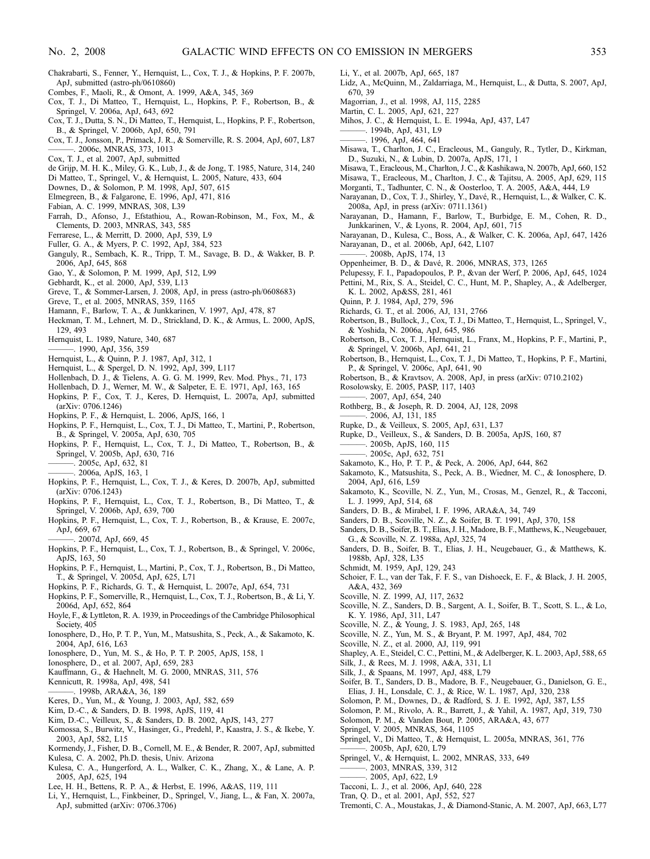- Chakrabarti, S., Fenner, Y., Hernquist, L., Cox, T. J., & Hopkins, P. F. 2007b, ApJ, submitted (astro-ph/0610860)
- Combes, F., Maoli, R., & Omont, A. 1999, A&A, 345, 369
- Cox, T. J., Di Matteo, T., Hernquist, L., Hopkins, P. F., Robertson, B., & Springel, V. 2006a, ApJ, 643, 692
- Cox, T. J., Dutta, S. N., Di Matteo, T., Hernquist, L., Hopkins, P. F., Robertson, B., & Springel, V. 2006b, ApJ, 650, 791
- Cox, T. J., Jonsson, P., Primack, J. R., & Somerville, R. S. 2004, ApJ, 607, L87 ———. 2006c, MNRAS, 373, 1013
- Cox, T. J., et al. 2007, ApJ, submitted
- de Grijp, M. H. K., Miley, G. K., Lub, J., & de Jong, T. 1985, Nature, 314, 240
- Di Matteo, T., Springel, V., & Hernquist, L. 2005, Nature, 433, 604
- Downes, D., & Solomon, P. M. 1998, ApJ, 507, 615
- Elmegreen, B., & Falgarone, E. 1996, ApJ, 471, 816
- Fabian, A. C. 1999, MNRAS, 308, L39
- Farrah, D., Afonso, J., Efstathiou, A., Rowan-Robinson, M., Fox, M., & Clements, D. 2003, MNRAS, 343, 585
- Ferrarese, L., & Merritt, D. 2000, ApJ, 539, L9
- Fuller, G. A., & Myers, P. C. 1992, ApJ, 384, 523
- Ganguly, R., Sembach, K. R., Tripp, T. M., Savage, B. D., & Wakker, B. P. 2006, ApJ, 645, 868
- Gao, Y., & Solomon, P. M. 1999, ApJ, 512, L99
- Gebhardt, K., et al. 2000, ApJ, 539, L13
- Greve, T., & Sommer-Larsen, J. 2008, ApJ, in press (astro-ph/0608683)
- Greve, T., et al. 2005, MNRAS, 359, 1165
- Hamann, F., Barlow, T. A., & Junkkarinen, V. 1997, ApJ, 478, 87
- Heckman, T. M., Lehnert, M. D., Strickland, D. K., & Armus, L. 2000, ApJS, 129, 493
- Hernquist, L. 1989, Nature, 340, 687
- ———. 1990, ApJ, 356, 359
- Hernquist, L., & Quinn, P. J. 1987, ApJ, 312, 1
- Hernquist, L., & Spergel, D. N. 1992, ApJ, 399, L117
- Hollenbach, D. J., & Tielens, A. G. G. M. 1999, Rev. Mod. Phys., 71, 173
- Hollenbach, D. J., Werner, M. W., & Salpeter, E. E. 1971, ApJ, 163, 165
- Hopkins, P. F., Cox, T. J., Keres, D. Hernquist, L. 2007a, ApJ, submitted (arXiv: 0706.1246)
- Hopkins, P. F., & Hernquist, L. 2006, ApJS, 166, 1
- Hopkins, P. F., Hernquist, L., Cox, T. J., Di Matteo, T., Martini, P., Robertson, B., & Springel, V. 2005a, ApJ, 630, 705
- Hopkins, P. F., Hernquist, L., Cox, T. J., Di Matteo, T., Robertson, B., & Springel, V. 2005b, ApJ, 630, 716
	- ———. 2005c, ApJ, 632, 81
	- ———. 2006a, ApJS, 163, 1
- Hopkins, P. F., Hernquist, L., Cox, T. J., & Keres, D. 2007b, ApJ, submitted (arXiv: 0706.1243)
- Hopkins, P. F., Hernquist, L., Cox, T. J., Robertson, B., Di Matteo, T., & Springel, V. 2006b, ApJ, 639, 700
- Hopkins, P. F., Hernquist, L., Cox, T. J., Robertson, B., & Krause, E. 2007c, ApJ, 669, 67
- ———. 2007d, ApJ, 669, 45
- Hopkins, P. F., Hernquist, L., Cox, T. J., Robertson, B., & Springel, V. 2006c, ApJS, 163, 50
- Hopkins, P. F., Hernquist, L., Martini, P., Cox, T. J., Robertson, B., Di Matteo, T., & Springel, V. 2005d, ApJ, 625, L71
- Hopkins, P. F., Richards, G. T., & Hernquist, L. 2007e, ApJ, 654, 731
- Hopkins, P. F., Somerville, R., Hernquist, L., Cox, T. J., Robertson, B., & Li, Y. 2006d, ApJ, 652, 864
- Hoyle, F., & Lyttleton, R. A. 1939, in Proceedings of the Cambridge Philosophical Society, 405
- Ionosphere, D., Ho, P. T. P., Yun, M., Matsushita, S., Peck, A., & Sakamoto, K. 2004, ApJ, 616, L63
- Ionosphere, D., Yun, M. S., & Ho, P. T. P. 2005, ApJS, 158, 1
- Ionosphere, D., et al. 2007, ApJ, 659, 283
- Kauffmann, G., & Haehnelt, M. G. 2000, MNRAS, 311, 576
- Kennicutt, R. 1998a, ApJ, 498, 541
- ———. 1998b, ARA&A, 36, 189
- Keres, D., Yun, M., & Young, J. 2003, ApJ, 582, 659
- Kim, D.-C., & Sanders, D. B. 1998, ApJS, 119, 41
- Kim, D.-C., Veilleux, S., & Sanders, D. B. 2002, ApJS, 143, 277
- Komossa, S., Burwitz, V., Hasinger, G., Predehl, P., Kaastra, J. S., & Ikebe, Y. 2003, ApJ, 582, L15
- Kormendy, J., Fisher, D. B., Cornell, M. E., & Bender, R. 2007, ApJ, submitted Kulesa, C. A. 2002, Ph.D. thesis, Univ. Arizona
- 
- Kulesa, C. A., Hungerford, A. L., Walker, C. K., Zhang, X., & Lane, A. P. 2005, ApJ, 625, 194
- Lee, H. H., Bettens, R. P. A., & Herbst, E. 1996, A&AS, 119, 111
- Li, Y., Hernquist, L., Finkbeiner, D., Springel, V., Jiang, L., & Fan, X. 2007a, ApJ, submitted (arXiv: 0706.3706)
- Li, Y., et al. 2007b, ApJ, 665, 187
- Lidz, A., McQuinn, M., Zaldarriaga, M., Hernquist, L., & Dutta, S. 2007, ApJ, 670, 39
- Magorrian, J., et al. 1998, AJ, 115, 2285
- Martin, C. L. 2005, ApJ, 621, 227
- Mihos, J. C., & Hernquist, L. E. 1994a, ApJ, 437, L47
- ———. 1994b, ApJ, 431, L9
- ———. 1996, ApJ, 464, 641
- Misawa, T., Charlton, J. C., Eracleous, M., Ganguly, R., Tytler, D., Kirkman, D., Suzuki, N., & Lubin, D. 2007a, ApJS, 171, 1
- Misawa, T., Eracleous, M., Charlton, J. C., & Kashikawa, N. 2007b, ApJ, 660, 152
- Misawa, T., Eracleous, M., Charlton, J. C., & Tajitsu, A. 2005, ApJ, 629, 115
- Morganti, T., Tadhunter, C. N., & Oosterloo, T. A. 2005, A&A, 444, L9 Narayanan, D., Cox, T. J., Shirley, Y., Davé, R., Hernquist, L., & Walker, C. K.
- 2008a, ApJ, in press (arXiv: 0711.1361)
- Narayanan, D., Hamann, F., Barlow, T., Burbidge, E. M., Cohen, R. D., Junkkarinen, V., & Lyons, R. 2004, ApJ, 601, 715
- Narayanan, D., Kulesa, C., Boss, A., & Walker, C. K. 2006a, ApJ, 647, 1426
- Narayanan, D., et al. 2006b, ApJ, 642, L107
- 2008b, ApJS, 174, 13
- Oppenheimer, B. D., & Davé, R. 2006, MNRAS, 373, 1265
- Pelupessy, F. I., Papadopoulos, P. P., &van der Werf, P. 2006, ApJ, 645, 1024
- Pettini, M., Rix, S. A., Steidel, C. C., Hunt, M. P., Shapley, A., & Adelberger, K. L. 2002, Ap&SS, 281, 461
- Quinn, P. J. 1984, ApJ, 279, 596
- Richards, G. T., et al. 2006, AJ, 131, 2766
- Robertson, B., Bullock, J., Cox, T. J., Di Matteo, T., Hernquist, L., Springel, V., & Yoshida, N. 2006a, ApJ, 645, 986
- Robertson, B., Cox, T. J., Hernquist, L., Franx, M., Hopkins, P. F., Martini, P., & Springel, V. 2006b, ApJ, 641, 21
- Robertson, B., Hernquist, L., Cox, T. J., Di Matteo, T., Hopkins, P. F., Martini, P., & Springel, V. 2006c, ApJ, 641, 90
- Robertson, B., & Kravtsov, A. 2008, ApJ, in press (arXiv: 0710.2102)
- Rosolowsky, E. 2005, PASP, 117, 1403
- ———. 2007, ApJ, 654, 240
- Rothberg, B., & Joseph, R. D. 2004, AJ, 128, 2098
- ———. 2006, AJ, 131, 185
- Rupke, D., & Veilleux, S. 2005, ApJ, 631, L37
- Rupke, D., Veilleux, S., & Sanders, D. B. 2005a, ApJS, 160, 87
- ———. 2005b, ApJS, 160, 115
- ———. 2005c, ApJ, 632, 751

Schmidt, M. 1959, ApJ, 129, 243

Scoville, N. Z. 1999, AJ, 117, 2632

Scoville, N. Z., et al. 2000, AJ, 119, 991

Springel, V. 2005, MNRAS, 364, 1105

2005b, ApJ, 620, L79

———. 2003, MNRAS, 339, 312 ———. 2005, ApJ, 622, L9 Tacconi, L. J., et al. 2006, ApJ, 640, 228 Tran, Q. D., et al. 2001, ApJ, 552, 527

Silk, J., & Rees, M. J. 1998, A&A, 331, L1 Silk, J., & Spaans, M. 1997, ApJ, 488, L79

K. Y. 1986, ApJ, 311, L47

A&A, 432, 369

- Sakamoto, K., Ho, P. T. P., & Peck, A. 2006, ApJ, 644, 862
- Sakamoto, K., Matsushita, S., Peck, A. B., Wiedner, M. C., & Ionosphere, D. 2004, ApJ, 616, L59
- Sakamoto, K., Scoville, N. Z., Yun, M., Crosas, M., Genzel, R., & Tacconi, L. J. 1999, ApJ, 514, 68
- Sanders, D. B., & Mirabel, I. F. 1996, ARA&A, 34, 749

Scoville, N. Z., & Young, J. S. 1983, ApJ, 265, 148

Scoville, N. Z., Yun, M. S., & Bryant, P. M. 1997, ApJ, 484, 702

Solomon, P. M., & Vanden Bout, P. 2005, ARA&A, 43, 677

Springel, V., & Hernquist, L. 2002, MNRAS, 333, 649

Springel, V., Di Matteo, T., & Hernquist, L. 2005a, MNRAS, 361, 776

Tremonti, C. A., Moustakas, J., & Diamond-Stanic, A. M. 2007, ApJ, 663, L77

- Sanders, D. B., Scoville, N. Z., & Soifer, B. T. 1991, ApJ, 370, 158
- Sanders, D. B., Soifer, B. T., Elias, J. H., Madore, B. F., Matthews, K., Neugebauer, G., & Scoville, N. Z. 1988a, ApJ, 325, 74
- Sanders, D. B., Soifer, B. T., Elias, J. H., Neugebauer, G., & Matthews, K. 1988b, ApJ, 328, L35

Schoier, F. L., van der Tak, F. F. S., van Dishoeck, E. F., & Black, J. H. 2005,

Scoville, N. Z., Sanders, D. B., Sargent, A. I., Soifer, B. T., Scott, S. L., & Lo,

Shapley, A. E., Steidel, C. C., Pettini, M., & Adelberger, K. L. 2003, ApJ, 588, 65

Soifer, B. T., Sanders, D. B., Madore, B. F., Neugebauer, G., Danielson, G. E., Elias, J. H., Lonsdale, C. J., & Rice, W. L. 1987, ApJ, 320, 238 Solomon, P. M., Downes, D., & Radford, S. J. E. 1992, ApJ, 387, L55 Solomon, P. M., Rivolo, A. R., Barrett, J., & Yahil, A. 1987, ApJ, 319, 730